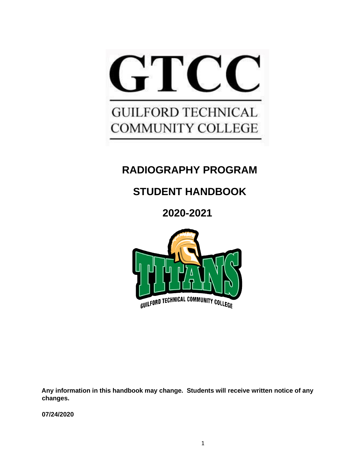

# **RADIOGRAPHY PROGRAM**

# **STUDENT HANDBOOK**

**2020-2021**



**Any information in this handbook may change. Students will receive written notice of any changes.** 

**07/24/2020**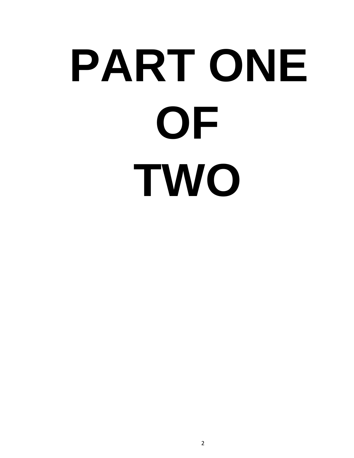# **PART ONE OF TWO**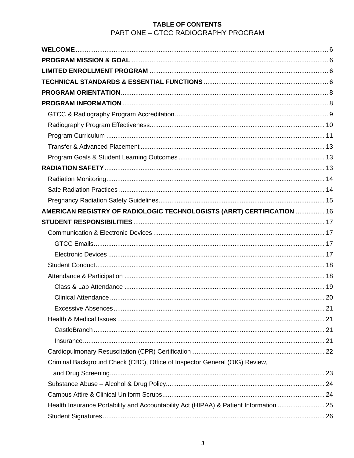### TABLE OF CONTENTS PART ONE - GTCC RADIOGRAPHY PROGRAM

| AMERICAN REGISTRY OF RADIOLOGIC TECHNOLOGISTS (ARRT) CERTIFICATION  16                |  |
|---------------------------------------------------------------------------------------|--|
|                                                                                       |  |
|                                                                                       |  |
|                                                                                       |  |
|                                                                                       |  |
|                                                                                       |  |
|                                                                                       |  |
|                                                                                       |  |
|                                                                                       |  |
|                                                                                       |  |
|                                                                                       |  |
|                                                                                       |  |
|                                                                                       |  |
|                                                                                       |  |
| Criminal Background Check (CBC), Office of Inspector General (OIG) Review,            |  |
|                                                                                       |  |
|                                                                                       |  |
|                                                                                       |  |
| Health Insurance Portability and Accountability Act (HIPAA) & Patient Information  25 |  |
|                                                                                       |  |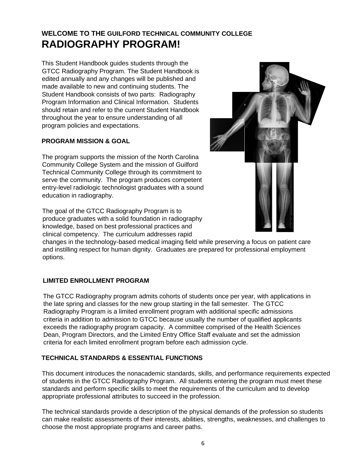## **WELCOME TO THE GUILFORD TECHNICAL COMMUNITY COLLEGE RADIOGRAPHY PROGRAM!**

This Student Handbook guides students through the GTCC Radiography Program. The Student Handbook is edited annually and any changes will be published and made available to new and continuing students. The Student Handbook consists of two parts: Radiography Program Information and Clinical Information. Students should retain and refer to the current Student Handbook throughout the year to ensure understanding of all program policies and expectations.

### **PROGRAM MISSION & GOAL**

The program supports the mission of the North Carolina Community College System and the mission of Guilford Technical Community College through its commitment to serve the community. The program produces competent entry-level radiologic technologist graduates with a sound education in radiography.

The goal of the GTCC Radiography Program is to produce graduates with a solid foundation in radiography knowledge, based on best professional practices and clinical competency. The curriculum addresses rapid



changes in the technology-based medical imaging field while preserving a focus on patient care and instilling respect for human dignity.Graduates are prepared for professional employment options.

### **LIMITED ENROLLMENT PROGRAM**

The GTCC Radiography program admits cohorts of students once per year, with applications in the late spring and classes for the new group starting in the fall semester. The GTCC Radiography Program is a limited enrollment program with additional specific admissions criteria in addition to admission to GTCC because usually the number of qualified applicants exceeds the radiography program capacity. A committee comprised of the Health Sciences Dean, Program Directors, and the Limited Entry Office Staff evaluate and set the admission criteria for each limited enrollment program before each admission cycle.

### **TECHNICAL STANDARDS & ESSENTIAL FUNCTIONS**

This document introduces the nonacademic standards, skills, and performance requirements expected of students in the GTCC Radiography Program. All students entering the program must meet these standards and perform specific skills to meet the requirements of the curriculum and to develop appropriate professional attributes to succeed in the profession.

The technical standards provide a description of the physical demands of the profession so students can make realistic assessments of their interests, abilities, strengths, weaknesses, and challenges to choose the most appropriate programs and career paths.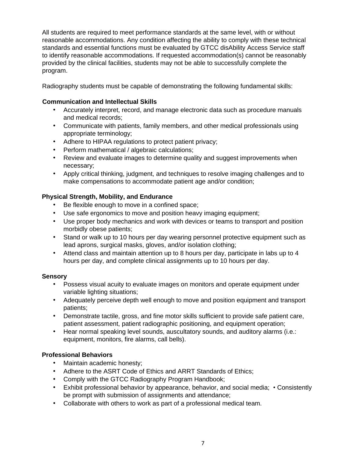All students are required to meet performance standards at the same level, with or without reasonable accommodations. Any condition affecting the ability to comply with these technical standards and essential functions must be evaluated by GTCC disAbility Access Service staff to identify reasonable accommodations. If requested accommodation(s) cannot be reasonably provided by the clinical facilities, students may not be able to successfully complete the program.

Radiography students must be capable of demonstrating the following fundamental skills:

### **Communication and Intellectual Skills**

- Accurately interpret, record, and manage electronic data such as procedure manuals and medical records;
- Communicate with patients, family members, and other medical professionals using appropriate terminology;
- Adhere to HIPAA regulations to protect patient privacy;
- Perform mathematical / algebraic calculations;
- Review and evaluate images to determine quality and suggest improvements when necessary;
- Apply critical thinking, judgment, and techniques to resolve imaging challenges and to make compensations to accommodate patient age and/or condition;

### **Physical Strength, Mobility, and Endurance**

- Be flexible enough to move in a confined space;
- Use safe ergonomics to move and position heavy imaging equipment;
- Use proper body mechanics and work with devices or teams to transport and position morbidly obese patients;
- Stand or walk up to 10 hours per day wearing personnel protective equipment such as lead aprons, surgical masks, gloves, and/or isolation clothing;
- Attend class and maintain attention up to 8 hours per day, participate in labs up to 4 hours per day, and complete clinical assignments up to 10 hours per day.

### **Sensory**

- Possess visual acuity to evaluate images on monitors and operate equipment under variable lighting situations;
- Adequately perceive depth well enough to move and position equipment and transport patients;
- Demonstrate tactile, gross, and fine motor skills sufficient to provide safe patient care, patient assessment, patient radiographic positioning, and equipment operation;
- Hear normal speaking level sounds, auscultatory sounds, and auditory alarms (i.e.: equipment, monitors, fire alarms, call bells).

### **Professional Behaviors**

- Maintain academic honesty;
- Adhere to the ASRT Code of Ethics and ARRT Standards of Ethics;
- Comply with the GTCC Radiography Program Handbook;
- Exhibit professional behavior by appearance, behavior, and social media; Consistently be prompt with submission of assignments and attendance;
- Collaborate with others to work as part of a professional medical team.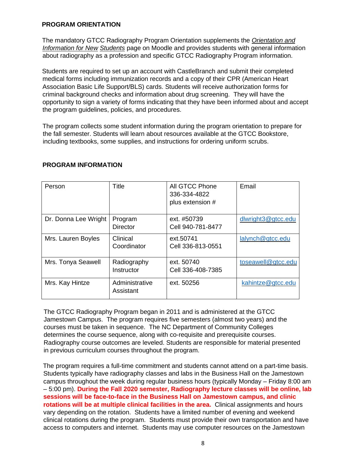### **PROGRAM ORIENTATION**

The mandatory GTCC Radiography Program Orientation supplements the *Orientation and Information for New Students* page on Moodle and provides students with general information about radiography as a profession and specific GTCC Radiography Program information.

Students are required to set up an account with CastleBranch and submit their completed medical forms including immunization records and a copy of their CPR (American Heart Association Basic Life Support/BLS) cards. Students will receive authorization forms for criminal background checks and information about drug screening. They will have the opportunity to sign a variety of forms indicating that they have been informed about and accept the program guidelines, policies, and procedures.

The program collects some student information during the program orientation to prepare for the fall semester. Students will learn about resources available at the GTCC Bookstore, including textbooks, some supplies, and instructions for ordering uniform scrubs.

| Person               | <b>Title</b>                | All GTCC Phone<br>336-334-4822<br>plus extension # | Email              |
|----------------------|-----------------------------|----------------------------------------------------|--------------------|
| Dr. Donna Lee Wright | Program<br><b>Director</b>  | ext. #50739<br>Cell 940-781-8477                   | dlwright3@gtcc.edu |
| Mrs. Lauren Boyles   | Clinical<br>Coordinator     | ext.50741<br>Cell 336-813-0551                     | lalynch@gtcc.edu   |
| Mrs. Tonya Seawell   | Radiography<br>Instructor   | ext. 50740<br>Cell 336-408-7385                    | toseawell@gtcc.edu |
| Mrs. Kay Hintze      | Administrative<br>Assistant | ext. 50256                                         | kahintze@gtcc.edu  |

### **PROGRAM INFORMATION**

The GTCC Radiography Program began in 2011 and is administered at the GTCC Jamestown Campus. The program requires five semesters (almost two years) and the courses must be taken in sequence. The NC Department of Community Colleges determines the course sequence, along with co-requisite and prerequisite courses. Radiography course outcomes are leveled. Students are responsible for material presented in previous curriculum courses throughout the program.

The program requires a full-time commitment and students cannot attend on a part-time basis. Students typically have radiography classes and labs in the Business Hall on the Jamestown campus throughout the week during regular business hours (typically Monday – Friday 8:00 am – 5:00 pm). **During the Fall 2020 semester, Radiography lecture classes will be online, lab sessions will be face-to-face in the Business Hall on Jamestown campus, and clinic rotations will be at multiple clinical facilities in the area.** Clinical assignments and hours vary depending on the rotation. Students have a limited number of evening and weekend clinical rotations during the program. Students must provide their own transportation and have access to computers and internet. Students may use computer resources on the Jamestown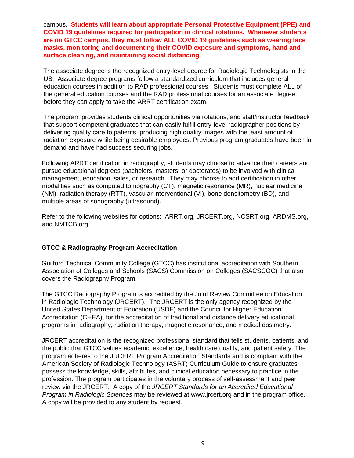campus. **Students will learn about appropriate Personal Protective Equipment (PPE) and COVID 19 guidelines required for participation in clinical rotations. Whenever students are on GTCC campus, they must follow ALL COVID 19 guidelines such as wearing face masks, monitoring and documenting their COVID exposure and symptoms, hand and surface cleaning, and maintaining social distancing.** 

The associate degree is the recognized entry-level degree for Radiologic Technologists in the US. Associate degree programs follow a standardized curriculum that includes general education courses in addition to RAD professional courses. Students must complete ALL of the general education courses and the RAD professional courses for an associate degree before they can apply to take the ARRT certification exam.

The program provides students clinical opportunities via rotations, and staff/instructor feedback that support competent graduates that can easily fulfill entry-level radiographer positions by delivering quality care to patients, producing high quality images with the least amount of radiation exposure while being desirable employees. Previous program graduates have been in demand and have had success securing jobs.

Following ARRT certification in radiography, students may choose to advance their careers and pursue educational degrees (bachelors, masters, or doctorates) to be involved with clinical management, education, sales, or research. They may choose to add certification in other modalities such as computed tomography (CT), magnetic resonance (MR), nuclear medicine (NM), radiation therapy (RTT), vascular interventional (VI), bone densitometry (BD), and multiple areas of sonography (ultrasound).

Refer to the following websites for options: ARRT.org, JRCERT.org, NCSRT.org, ARDMS.org, and NMTCB.org

### **GTCC & Radiography Program Accreditation**

Guilford Technical Community College (GTCC) has institutional accreditation with Southern Association of Colleges and Schools (SACS) Commission on Colleges (SACSCOC) that also covers the Radiography Program.

The GTCC Radiography Program is accredited by the Joint Review Committee on Education in Radiologic Technology (JRCERT). The JRCERT is the only agency recognized by the United States Department of Education (USDE) and the Council for Higher Education Accreditation (CHEA), for the accreditation of traditional and distance delivery educational programs in radiography, radiation therapy, magnetic resonance, and medical dosimetry.

JRCERT accreditation is the recognized professional standard that tells students, patients, and the public that GTCC values academic excellence, health care quality, and patient safety. The program adheres to the JRCERT Program Accreditation Standards and is compliant with the American Society of Radiologic Technology (ASRT) Curriculum Guide to ensure graduates possess the knowledge, skills, attributes, and clinical education necessary to practice in the profession. The program participates in the voluntary process of self-assessment and peer review via the JRCERT. A copy of the *JRCERT Standards for an Accredited Educational Program in Radiologic Sciences* may be reviewed at [www.jrcert.org](http://www.jrcert.org/) and in the program office. A copy will be provided to any student by request.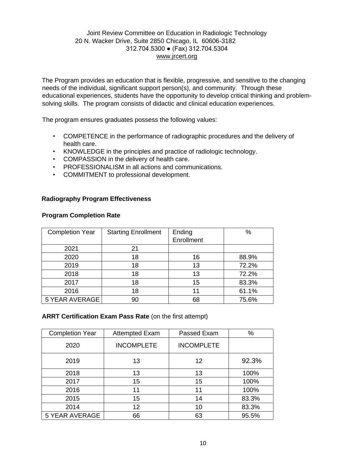### Joint Review Committee on Education in Radiologic Technology 20 N. Wacker Drive, Suite 2850 Chicago, IL 60606-3182 312.704.5300 ● (Fax) 312.704.5304 [www.jrcert.org](http://www.jrcert.org/)

The Program provides an education that is flexible, progressive, and sensitive to the changing needs of the individual, significant support person(s), and community. Through these educational experiences, students have the opportunity to develop critical thinking and problemsolving skills. The program consists of didactic and clinical education experiences.

The program ensures graduates possess the following values:

- COMPETENCE in the performance of radiographic procedures and the delivery of health care.
- KNOWLEDGE in the principles and practice of radiologic technology.
- COMPASSION in the delivery of health care.
- PROFESSIONALISM in all actions and communications.
- COMMITMENT to professional development.

### **Radiography Program Effectiveness**

### **Program Completion Rate**

| <b>Completion Year</b> | <b>Starting Enrollment</b> | Ending<br>Enrollment | $\%$  |
|------------------------|----------------------------|----------------------|-------|
| 2021                   | 21                         |                      |       |
| 2020                   | 18                         | 16                   | 88.9% |
| 2019                   | 18                         | 13                   | 72.2% |
| 2018                   | 18                         | 13                   | 72.2% |
| 2017                   | 18                         | 15                   | 83.3% |
| 2016                   | 18                         | 11                   | 61.1% |
| 5 YEAR AVERAGE         | 90                         | 68                   | 75.6% |

### **ARRT Certification Exam Pass Rate** (on the first attempt)

| <b>Completion Year</b>      | <b>Attempted Exam</b> | Passed Exam       | %     |
|-----------------------------|-----------------------|-------------------|-------|
| 2020                        | <b>INCOMPLETE</b>     | <b>INCOMPLETE</b> |       |
| 2019                        | 13<br>12              |                   | 92.3% |
| 2018                        | 13<br>13              |                   | 100%  |
| 2017                        | 15                    | 15                | 100%  |
| 2016<br>11                  |                       | 11                | 100%  |
| 2015                        | 15<br>14              |                   | 83.3% |
| 2014<br>12<br>10            |                       | 83.3%             |       |
| <b>5 YEAR AVERAGE</b><br>66 |                       | 63                | 95.5% |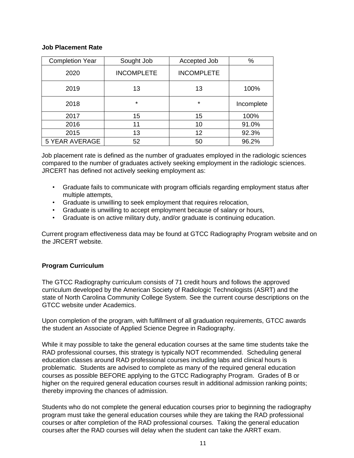### **Job Placement Rate**

| <b>Completion Year</b>      | Sought Job        | Accepted Job      | %          |
|-----------------------------|-------------------|-------------------|------------|
| 2020                        | <b>INCOMPLETE</b> | <b>INCOMPLETE</b> |            |
| 2019<br>13<br>13            |                   | 100%              |            |
| 2018                        | $\star$           | $\star$           | Incomplete |
| 2017                        | 15                | 15                | 100%       |
| 2016<br>10<br>11            |                   |                   | 91.0%      |
| 2015<br>13                  |                   | 12                | 92.3%      |
| <b>5 YEAR AVERAGE</b><br>52 |                   | 50                | 96.2%      |

Job placement rate is defined as the number of graduates employed in the radiologic sciences compared to the number of graduates actively seeking employment in the radiologic sciences. JRCERT has defined not actively seeking employment as:

- Graduate fails to communicate with program officials regarding employment status after multiple attempts,
- Graduate is unwilling to seek employment that requires relocation,
- Graduate is unwilling to accept employment because of salary or hours,
- Graduate is on active military duty, and/or graduate is continuing education.

Current program effectiveness data may be found at GTCC Radiography Program website and on the JRCERT website.

### **Program Curriculum**

The GTCC Radiography curriculum consists of 71 credit hours and follows the approved curriculum developed by the American Society of Radiologic Technologists (ASRT) and the state of North Carolina Community College System. See the current course descriptions on the GTCC website under Academics.

Upon completion of the program, with fulfillment of all graduation requirements, GTCC awards the student an Associate of Applied Science Degree in Radiography.

While it may possible to take the general education courses at the same time students take the RAD professional courses, this strategy is typically NOT recommended. Scheduling general education classes around RAD professional courses including labs and clinical hours is problematic. Students are advised to complete as many of the required general education courses as possible BEFORE applying to the GTCC Radiography Program. Grades of B or higher on the required general education courses result in additional admission ranking points; thereby improving the chances of admission.

Students who do not complete the general education courses prior to beginning the radiography program must take the general education courses while they are taking the RAD professional courses or after completion of the RAD professional courses. Taking the general education courses after the RAD courses will delay when the student can take the ARRT exam.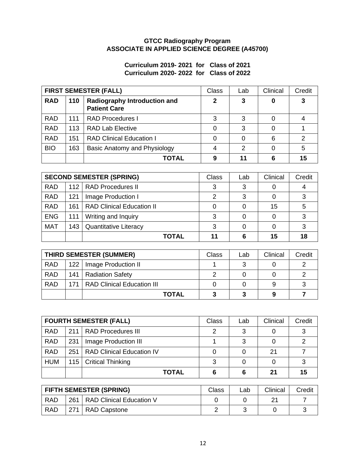### **GTCC Radiography Program ASSOCIATE IN APPLIED SCIENCE DEGREE (A45700)**

### **Curriculum 2019- 2021 for Class of 2021 Curriculum 2020- 2022 for Class of 2022**

| <b>FIRST SEMESTER (FALL)</b> |     | <b>Class</b>                                               | Lab | Clinical | Credit |    |
|------------------------------|-----|------------------------------------------------------------|-----|----------|--------|----|
| <b>RAD</b>                   | 110 | <b>Radiography Introduction and</b><br><b>Patient Care</b> | 2   | 3        | 0      | 3  |
| <b>RAD</b>                   | 111 | <b>RAD Procedures I</b>                                    | 3   | 3        | 0      |    |
| <b>RAD</b>                   | 113 | <b>RAD Lab Elective</b>                                    |     | 3        | 0      |    |
| <b>RAD</b>                   | 151 | <b>RAD Clinical Education I</b>                            |     | 0        | 6      | 2  |
| <b>BIO</b>                   | 163 | Basic Anatomy and Physiology                               | 4   | 2        | 0      | 5  |
|                              |     | TOTAL                                                      | 9   | 11       | 6      | 15 |

|            |     | <b>SECOND SEMESTER (SPRING)</b>  | <b>Class</b> | Lab | Clinical | Credit |
|------------|-----|----------------------------------|--------------|-----|----------|--------|
| <b>RAD</b> |     | 112   RAD Procedures II          | 3            |     |          |        |
| <b>RAD</b> | 121 | Image Production I               | 2            |     |          |        |
| <b>RAD</b> | 161 | <b>RAD Clinical Education II</b> |              |     | 15       |        |
| <b>ENG</b> | 111 | Writing and Inquiry              |              |     |          |        |
| <b>MAT</b> | 143 | <b>Quantitative Literacy</b>     | 3            |     |          |        |
|            |     | <b>TOTAL</b>                     | 11           |     | 15       | 18     |

|            | <b>THIRD SEMESTER (SUMMER)</b>   | Class | Lab | Clinical | Credit |
|------------|----------------------------------|-------|-----|----------|--------|
| <b>RAD</b> | 122   Image Production II        |       |     |          |        |
| <b>RAD</b> | 141   Radiation Safety           |       |     |          |        |
| <b>RAD</b> | 171   RAD Clinical Education III |       |     | 9        |        |
|            | <b>TOTAL</b>                     | 3     | 3   | 9        |        |

|            |     | <b>FOURTH SEMESTER (FALL)</b>    | <b>Class</b> | Lab | Clinical | Credit |
|------------|-----|----------------------------------|--------------|-----|----------|--------|
| <b>RAD</b> | 211 | <b>RAD Procedures III</b>        | ⌒            | າ   |          | ົ      |
| <b>RAD</b> | 231 | Image Production III             |              |     |          |        |
| <b>RAD</b> | 251 | <b>RAD Clinical Education IV</b> |              |     | 21       |        |
| <b>HUM</b> |     | 115   Critical Thinking          |              |     |          |        |
|            |     | <b>TOTAL</b>                     | 6            | 6   | 21       | 15     |

|            | <b>FIFTH SEMESTER (SPRING)</b> | Class | ∟ab | Clinical | Credit |
|------------|--------------------------------|-------|-----|----------|--------|
| <b>RAD</b> | 261   RAD Clinical Education V |       |     | ິ        |        |
| <b>RAD</b> | 271   RAD Capstone             |       |     |          |        |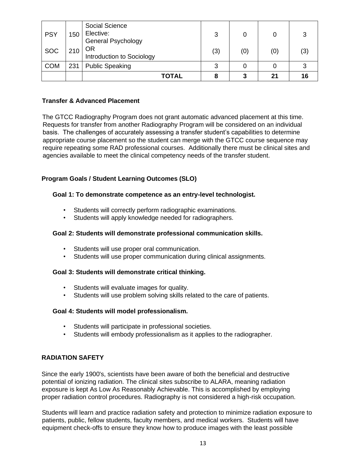| <b>PSY</b> | 150 | Social Science<br>Elective:<br><b>General Psychology</b> | 3   |     |     | 3   |
|------------|-----|----------------------------------------------------------|-----|-----|-----|-----|
| <b>SOC</b> | 210 | OR<br>Introduction to Sociology                          | (3) | (0) | (0) | (3) |
| <b>COM</b> | 231 | <b>Public Speaking</b>                                   | 3   |     |     | ີ   |
|            |     | TOTAL                                                    | 8   | 3   | 21  | 16  |

### **Transfer & Advanced Placement**

The GTCC Radiography Program does not grant automatic advanced placement at this time. Requests for transfer from another Radiography Program will be considered on an individual basis. The challenges of accurately assessing a transfer student's capabilities to determine appropriate course placement so the student can merge with the GTCC course sequence may require repeating some RAD professional courses. Additionally there must be clinical sites and agencies available to meet the clinical competency needs of the transfer student.

### **Program Goals / Student Learning Outcomes (SLO)**

### **Goal 1: To demonstrate competence as an entry-level technologist.**

- Students will correctly perform radiographic examinations.
- Students will apply knowledge needed for radiographers.

### **Goal 2: Students will demonstrate professional communication skills.**

- Students will use proper oral communication.
- Students will use proper communication during clinical assignments.

### **Goal 3: Students will demonstrate critical thinking.**

- Students will evaluate images for quality.
- Students will use problem solving skills related to the care of patients.

### **Goal 4: Students will model professionalism.**

- Students will participate in professional societies.
- Students will embody professionalism as it applies to the radiographer.

### **RADIATION SAFETY**

Since the early 1900's, scientists have been aware of both the beneficial and destructive potential of ionizing radiation. The clinical sites subscribe to ALARA, meaning radiation exposure is kept As Low As Reasonably Achievable. This is accomplished by employing proper radiation control procedures. Radiography is not considered a high-risk occupation.

Students will learn and practice radiation safety and protection to minimize radiation exposure to patients, public, fellow students, faculty members, and medical workers. Students will have equipment check-offs to ensure they know how to produce images with the least possible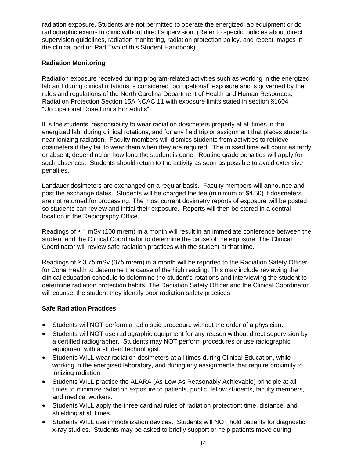radiation exposure. Students are not permitted to operate the energized lab equipment or do radiographic exams in clinic without direct supervision. (Refer to specific policies about direct supervision guidelines, radiation monitoring, radiation protection policy, and repeat images in the clinical portion Part Two of this Student Handbook)

### **Radiation Monitoring**

Radiation exposure received during program-related activities such as working in the energized lab and during clinical rotations is considered "occupational" exposure and is governed by the rules and regulations of the North Carolina Department of Health and Human Resources, Radiation Protection Section 15A NCAC 11 with exposure limits stated in section §1604 "Occupational Dose Limits For Adults".

It is the students' responsibility to wear radiation dosimeters properly at all times in the energized lab, during clinical rotations, and for any field trip or assignment that places students near ionizing radiation. Faculty members will dismiss students from activities to retrieve dosimeters if they fail to wear them when they are required. The missed time will count as tardy or absent, depending on how long the student is gone. Routine grade penalties will apply for such absences. Students should return to the activity as soon as possible to avoid extensive penalties.

Landauer dosimeters are exchanged on a regular basis. Faculty members will announce and post the exchange dates. Students will be charged the fee (minimum of \$4.50) if dosimeters are not returned for processing. The most current dosimetry reports of exposure will be posted so students can review and initial their exposure. Reports will then be stored in a central location in the Radiography Office.

Readings of ≥ 1 mSv (100 mrem) in a month will result in an immediate conference between the student and the Clinical Coordinator to determine the cause of the exposure. The Clinical Coordinator will review safe radiation practices with the student at that time.

Readings of ≥ 3.75 mSv (375 mrem) in a month will be reported to the Radiation Safety Officer for Cone Health to determine the cause of the high reading. This may include reviewing the clinical education schedule to determine the student's rotations and interviewing the student to determine radiation protection habits. The Radiation Safety Officer and the Clinical Coordinator will counsel the student they identify poor radiation safety practices.

### **Safe Radiation Practices**

- Students will NOT perform a radiologic procedure without the order of a physician.
- Students will NOT use radiographic equipment for any reason without direct supervision by a certified radiographer. Students may NOT perform procedures or use radiographic equipment with a student technologist.
- Students WILL wear radiation dosimeters at all times during Clinical Education, while working in the energized laboratory, and during any assignments that require proximity to ionizing radiation.
- Students WILL practice the ALARA (As Low As Reasonably Achievable) principle at all times to minimize radiation exposure to patients, public, fellow students, faculty members, and medical workers.
- Students WILL apply the three cardinal rules of radiation protection: time, distance, and shielding at all times.
- Students WILL use immobilization devices. Students will NOT hold patients for diagnostic x-ray studies. Students may be asked to briefly support or help patients move during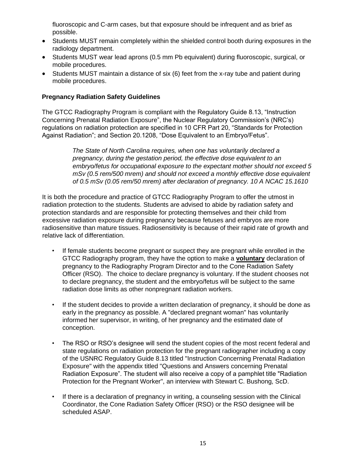fluoroscopic and C-arm cases, but that exposure should be infrequent and as brief as possible.

- Students MUST remain completely within the shielded control booth during exposures in the radiology department.
- Students MUST wear lead aprons (0.5 mm Pb equivalent) during fluoroscopic, surgical, or mobile procedures.
- Students MUST maintain a distance of six (6) feet from the x-ray tube and patient during mobile procedures.

### **Pregnancy Radiation Safety Guidelines**

The GTCC Radiography Program is compliant with the Regulatory Guide 8.13, "Instruction Concerning Prenatal Radiation Exposure", the Nuclear Regulatory Commission's (NRC's) regulations on radiation protection are specified in 10 CFR Part 20, "Standards for Protection Against Radiation"; and Section 20.1208, "Dose Equivalent to an Embryo/Fetus".

> *The State of North Carolina requires, when one has voluntarily declared a pregnancy, during the gestation period, the effective dose equivalent to an embryo/fetus for occupational exposure to the expectant mother should not exceed 5 mSv (0.5 rem/500 mrem) and should not exceed a monthly effective dose equivalent of 0.5 mSv (0.05 rem/50 mrem) after declaration of pregnancy. 10 A NCAC 15.1610*

It is both the procedure and practice of GTCC Radiography Program to offer the utmost in radiation protection to the students. Students are advised to abide by radiation safety and protection standards and are responsible for protecting themselves and their child from excessive radiation exposure during pregnancy because fetuses and embryos are more radiosensitive than mature tissues. Radiosensitivity is because of their rapid rate of growth and relative lack of differentiation.

- If female students become pregnant or suspect they are pregnant while enrolled in the GTCC Radiography program, they have the option to make a **voluntary** declaration of pregnancy to the Radiography Program Director and to the Cone Radiation Safety Officer (RSO). The choice to declare pregnancy is voluntary. If the student chooses not to declare pregnancy, the student and the embryo/fetus will be subject to the same radiation dose limits as other nonpregnant radiation workers.
- If the student decides to provide a written declaration of pregnancy, it should be done as early in the pregnancy as possible. A "declared pregnant woman" has voluntarily informed her supervisor, in writing, of her pregnancy and the estimated date of conception.
- The RSO or RSO's designee will send the student copies of the most recent federal and state regulations on radiation protection for the pregnant radiographer including a copy of the USNRC Regulatory Guide 8.13 titled "Instruction Concerning Prenatal Radiation Exposure" with the appendix titled "Questions and Answers concerning Prenatal Radiation Exposure". The student will also receive a copy of a pamphlet title "Radiation Protection for the Pregnant Worker", an interview with Stewart C. Bushong, ScD.
- If there is a declaration of pregnancy in writing, a counseling session with the Clinical Coordinator, the Cone Radiation Safety Officer (RSO) or the RSO designee will be scheduled ASAP.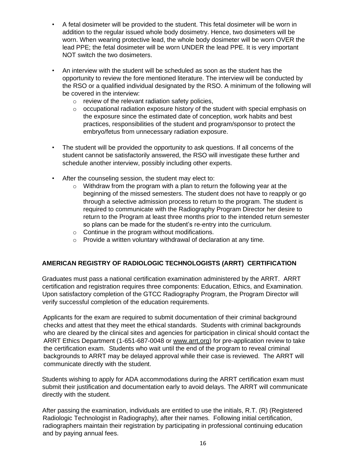- A fetal dosimeter will be provided to the student. This fetal dosimeter will be worn in addition to the regular issued whole body dosimetry. Hence, two dosimeters will be worn. When wearing protective lead, the whole body dosimeter will be worn OVER the lead PPE; the fetal dosimeter will be worn UNDER the lead PPE. It is very important NOT switch the two dosimeters.
- An interview with the student will be scheduled as soon as the student has the opportunity to review the fore mentioned literature. The interview will be conducted by the RSO or a qualified individual designated by the RSO. A minimum of the following will be covered in the interview:
	- o review of the relevant radiation safety policies,
	- $\circ$  occupational radiation exposure history of the student with special emphasis on the exposure since the estimated date of conception, work habits and best practices, responsibilities of the student and program/sponsor to protect the embryo/fetus from unnecessary radiation exposure.
- The student will be provided the opportunity to ask questions. If all concerns of the student cannot be satisfactorily answered, the RSO will investigate these further and schedule another interview, possibly including other experts.
- After the counseling session, the student may elect to:
	- $\circ$  Withdraw from the program with a plan to return the following year at the beginning of the missed semesters. The student does not have to reapply or go through a selective admission process to return to the program. The student is required to communicate with the Radiography Program Director her desire to return to the Program at least three months prior to the intended return semester so plans can be made for the student's re-entry into the curriculum.
	- o Continue in the program without modifications.
	- o Provide a written voluntary withdrawal of declaration at any time.

### **AMERICAN REGISTRY OF RADIOLOGIC TECHNOLOGISTS (ARRT) CERTIFICATION**

Graduates must pass a national certification examination administered by the ARRT. ARRT certification and registration requires three components: Education, Ethics, and Examination. Upon satisfactory completion of the GTCC Radiography Program, the Program Director will verify successful completion of the education requirements.

Applicants for the exam are required to submit documentation of their criminal background checks and attest that they meet the ethical standards. Students with criminal backgrounds who are cleared by the clinical sites and agencies for participation in clinical should contact the ARRT Ethics Department (1-651-687-0048 or [www.arrt.org\) f](http://www.arrt.org/)or pre-application review to take the certification exam. Students who wait until the end of the program to reveal criminal backgrounds to ARRT may be delayed approval while their case is reviewed. The ARRT will communicate directly with the student.

Students wishing to apply for ADA accommodations during the ARRT certification exam must submit their justification and documentation early to avoid delays. The ARRT will communicate directly with the student.

After passing the examination, individuals are entitled to use the initials, R.T. (R) (Registered Radiologic Technologist in Radiography), after their names. Following initial certification, radiographers maintain their registration by participating in professional continuing education and by paying annual fees.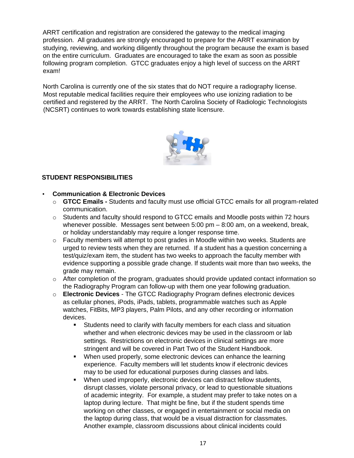ARRT certification and registration are considered the gateway to the medical imaging profession. All graduates are strongly encouraged to prepare for the ARRT examination by studying, reviewing, and working diligently throughout the program because the exam is based on the entire curriculum. Graduates are encouraged to take the exam as soon as possible following program completion. GTCC graduates enjoy a high level of success on the ARRT exam!

North Carolina is currently one of the six states that do NOT require a radiography license. Most reputable medical facilities require their employees who use ionizing radiation to be certified and registered by the ARRT. The North Carolina Society of Radiologic Technologists (NCSRT) continues to work towards establishing state licensure.



### **STUDENT RESPONSIBILITIES**

### • **Communication & Electronic Devices**

- o **GTCC Emails -** Students and faculty must use official GTCC emails for all program-related communication.
- o Students and faculty should respond to GTCC emails and Moodle posts within 72 hours whenever possible. Messages sent between 5:00 pm – 8:00 am, on a weekend, break, or holiday understandably may require a longer response time.
- $\circ$  Faculty members will attempt to post grades in Moodle within two weeks. Students are urged to review tests when they are returned. If a student has a question concerning a test/quiz/exam item, the student has two weeks to approach the faculty member with evidence supporting a possible grade change. If students wait more than two weeks, the grade may remain.
- $\circ$  After completion of the program, graduates should provide updated contact information so the Radiography Program can follow-up with them one year following graduation.
- o **Electronic Devices** The GTCC Radiography Program defines electronic devices as cellular phones, iPods, iPads, tablets, programmable watches such as Apple watches, FitBits, MP3 players, Palm Pilots, and any other recording or information devices.
	- Students need to clarify with faculty members for each class and situation whether and when electronic devices may be used in the classroom or lab settings. Restrictions on electronic devices in clinical settings are more stringent and will be covered in Part Two of the Student Handbook.
	- When used properly, some electronic devices can enhance the learning experience. Faculty members will let students know if electronic devices may to be used for educational purposes during classes and labs.
	- When used improperly, electronic devices can distract fellow students, disrupt classes, violate personal privacy, or lead to questionable situations of academic integrity. For example, a student may prefer to take notes on a laptop during lecture. That might be fine, but if the student spends time working on other classes, or engaged in entertainment or social media on the laptop during class, that would be a visual distraction for classmates. Another example, classroom discussions about clinical incidents could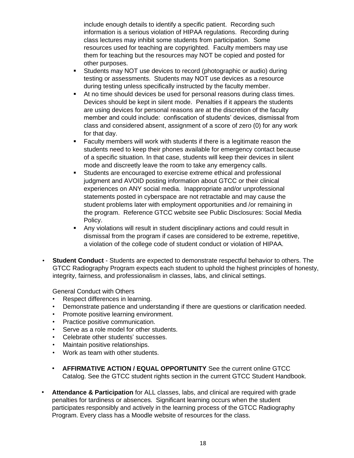include enough details to identify a specific patient. Recording such information is a serious violation of HIPAA regulations. Recording during class lectures may inhibit some students from participation. Some resources used for teaching are copyrighted. Faculty members may use them for teaching but the resources may NOT be copied and posted for other purposes.

- Students may NOT use devices to record (photographic or audio) during testing or assessments. Students may NOT use devices as a resource during testing unless specifically instructed by the faculty member.
- At no time should devices be used for personal reasons during class times. Devices should be kept in silent mode. Penalties if it appears the students are using devices for personal reasons are at the discretion of the faculty member and could include: confiscation of students' devices, dismissal from class and considered absent, assignment of a score of zero (0) for any work for that day.
- Faculty members will work with students if there is a legitimate reason the students need to keep their phones available for emergency contact because of a specific situation. In that case, students will keep their devices in silent mode and discreetly leave the room to take any emergency calls.
- Students are encouraged to exercise extreme ethical and professional judgment and AVOID posting information about GTCC or their clinical experiences on ANY social media. Inappropriate and/or unprofessional statements posted in cyberspace are not retractable and may cause the student problems later with employment opportunities and /or remaining in the program. Reference GTCC website see Public Disclosures: Social Media Policy.
- Any violations will result in student disciplinary actions and could result in dismissal from the program if cases are considered to be extreme, repetitive, a violation of the college code of student conduct or violation of HIPAA.
- **Student Conduct** Students are expected to demonstrate respectful behavior to others. The GTCC Radiography Program expects each student to uphold the highest principles of honesty, integrity, fairness, and professionalism in classes, labs, and clinical settings.

General Conduct with Others

- Respect differences in learning.
- Demonstrate patience and understanding if there are questions or clarification needed.
- Promote positive learning environment.
- Practice positive communication.
- Serve as a role model for other students.
- Celebrate other students' successes.
- Maintain positive relationships.
- Work as team with other students.
- **AFFIRMATIVE ACTION / EQUAL OPPORTUNITY** See the current online GTCC Catalog. See the GTCC student rights section in the current GTCC Student Handbook.
- **Attendance & Participation** for ALL classes, labs, and clinical are required with grade penalties for tardiness or absences. Significant learning occurs when the student participates responsibly and actively in the learning process of the GTCC Radiography Program. Every class has a Moodle website of resources for the class.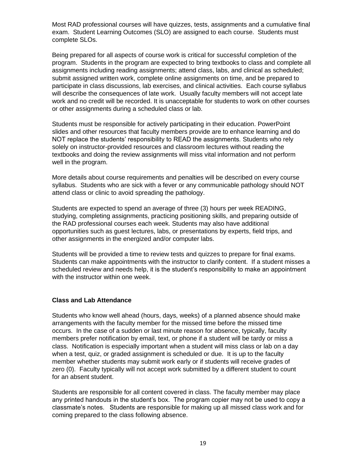Most RAD professional courses will have quizzes, tests, assignments and a cumulative final exam. Student Learning Outcomes (SLO) are assigned to each course. Students must complete SLOs.

Being prepared for all aspects of course work is critical for successful completion of the program. Students in the program are expected to bring textbooks to class and complete all assignments including reading assignments; attend class, labs, and clinical as scheduled; submit assigned written work, complete online assignments on time, and be prepared to participate in class discussions, lab exercises, and clinical activities. Each course syllabus will describe the consequences of late work. Usually faculty members will not accept late work and no credit will be recorded. It is unacceptable for students to work on other courses or other assignments during a scheduled class or lab.

Students must be responsible for actively participating in their education. PowerPoint slides and other resources that faculty members provide are to enhance learning and do NOT replace the students' responsibility to READ the assignments. Students who rely solely on instructor-provided resources and classroom lectures without reading the textbooks and doing the review assignments will miss vital information and not perform well in the program.

More details about course requirements and penalties will be described on every course syllabus. Students who are sick with a fever or any communicable pathology should NOT attend class or clinic to avoid spreading the pathology.

Students are expected to spend an average of three (3) hours per week READING, studying, completing assignments, practicing positioning skills, and preparing outside of the RAD professional courses each week. Students may also have additional opportunities such as guest lectures, labs, or presentations by experts, field trips, and other assignments in the energized and/or computer labs.

Students will be provided a time to review tests and quizzes to prepare for final exams. Students can make appointments with the instructor to clarify content. If a student misses a scheduled review and needs help, it is the student's responsibility to make an appointment with the instructor within one week.

### **Class and Lab Attendance**

Students who know well ahead (hours, days, weeks) of a planned absence should make arrangements with the faculty member for the missed time before the missed time occurs. In the case of a sudden or last minute reason for absence, typically, faculty members prefer notification by email, text, or phone if a student will be tardy or miss a class. Notification is especially important when a student will miss class or lab on a day when a test, quiz, or graded assignment is scheduled or due. It is up to the faculty member whether students may submit work early or if students will receive grades of zero (0). Faculty typically will not accept work submitted by a different student to count for an absent student.

Students are responsible for all content covered in class. The faculty member may place any printed handouts in the student's box. The program copier may not be used to copy a classmate's notes. Students are responsible for making up all missed class work and for coming prepared to the class following absence.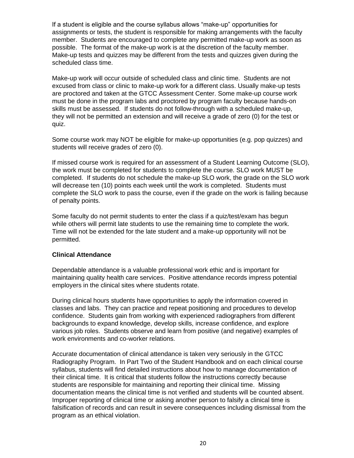If a student is eligible and the course syllabus allows "make-up" opportunities for assignments or tests, the student is responsible for making arrangements with the faculty member. Students are encouraged to complete any permitted make-up work as soon as possible. The format of the make-up work is at the discretion of the faculty member. Make-up tests and quizzes may be different from the tests and quizzes given during the scheduled class time.

Make-up work will occur outside of scheduled class and clinic time. Students are not excused from class or clinic to make-up work for a different class. Usually make-up tests are proctored and taken at the GTCC Assessment Center. Some make-up course work must be done in the program labs and proctored by program faculty because hands-on skills must be assessed. If students do not follow-through with a scheduled make-up, they will not be permitted an extension and will receive a grade of zero (0) for the test or quiz.

Some course work may NOT be eligible for make-up opportunities (e.g. pop quizzes) and students will receive grades of zero (0).

If missed course work is required for an assessment of a Student Learning Outcome (SLO), the work must be completed for students to complete the course. SLO work MUST be completed. If students do not schedule the make-up SLO work, the grade on the SLO work will decrease ten (10) points each week until the work is completed. Students must complete the SLO work to pass the course, even if the grade on the work is failing because of penalty points.

Some faculty do not permit students to enter the class if a quiz/test/exam has begun while others will permit late students to use the remaining time to complete the work. Time will not be extended for the late student and a make-up opportunity will not be permitted.

### **Clinical Attendance**

Dependable attendance is a valuable professional work ethic and is important for maintaining quality health care services. Positive attendance records impress potential employers in the clinical sites where students rotate.

During clinical hours students have opportunities to apply the information covered in classes and labs. They can practice and repeat positioning and procedures to develop confidence. Students gain from working with experienced radiographers from different backgrounds to expand knowledge, develop skills, increase confidence, and explore various job roles. Students observe and learn from positive (and negative) examples of work environments and co-worker relations.

Accurate documentation of clinical attendance is taken very seriously in the GTCC Radiography Program. In Part Two of the Student Handbook and on each clinical course syllabus, students will find detailed instructions about how to manage documentation of their clinical time. It is critical that students follow the instructions correctly because students are responsible for maintaining and reporting their clinical time. Missing documentation means the clinical time is not verified and students will be counted absent. Improper reporting of clinical time or asking another person to falsify a clinical time is falsification of records and can result in severe consequences including dismissal from the program as an ethical violation.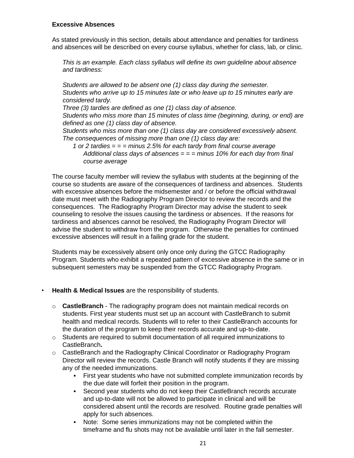### **Excessive Absences**

As stated previously in this section, details about attendance and penalties for tardiness and absences will be described on every course syllabus, whether for class, lab, or clinic.

*This is an example. Each class syllabus will define its own guideline about absence and tardiness:*

*Students are allowed to be absent one (1) class day during the semester. Students who arrive up to 15 minutes late or who leave up to 15 minutes early are considered tardy.*

*Three (3) tardies are defined as one (1) class day of absence.* 

*Students who miss more than 15 minutes of class time (beginning, during, or end) are defined as one (1) class day of absence.*

*Students who miss more than one (1) class day are considered excessively absent. The consequences of missing more than one (1) class day are:*

*1 or 2 tardies = = = minus 2.5% for each tardy from final course average Additional class days of absences = = = minus 10% for each day from final course average*

The course faculty member will review the syllabus with students at the beginning of the course so students are aware of the consequences of tardiness and absences. Students with excessive absences before the midsemester and / or before the official withdrawal date must meet with the Radiography Program Director to review the records and the consequences. The Radiography Program Director may advise the student to seek counseling to resolve the issues causing the tardiness or absences. If the reasons for tardiness and absences cannot be resolved, the Radiography Program Director will advise the student to withdraw from the program. Otherwise the penalties for continued excessive absences will result in a failing grade for the student.

Students may be excessively absent only once only during the GTCC Radiography Program. Students who exhibit a repeated pattern of excessive absence in the same or in subsequent semesters may be suspended from the GTCC Radiography Program.

### • **Health & Medical Issues** are the responsibility of students.

- o **CastleBranch**  The radiography program does not maintain medical records on students. First year students must set up an account with CastleBranch to submit health and medical records. Students will to refer to their CastleBranch accounts for the duration of the program to keep their records accurate and up-to-date.
- $\circ$  Students are required to submit documentation of all required immunizations to CastleBranch**.**
- o CastleBranch and the Radiography Clinical Coordinator or Radiography Program Director will review the records. Castle Branch will notify students if they are missing any of the needed immunizations.
	- First year students who have not submitted complete immunization records by the due date will forfeit their position in the program.
	- Second year students who do not keep their CastleBranch records accurate and up-to-date will not be allowed to participate in clinical and will be considered absent until the records are resolved. Routine grade penalties will apply for such absences.
	- Note: Some series immunizations may not be completed within the timeframe and flu shots may not be available until later in the fall semester.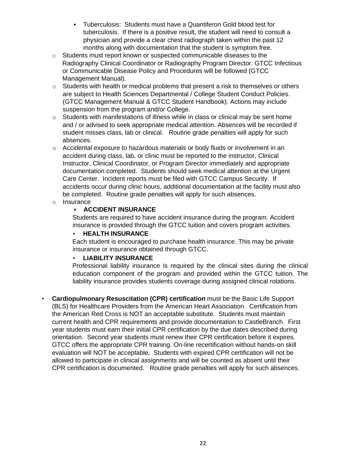- Tuberculosis: Students must have a Quantiferon Gold blood test for tuberculosis. If there is a positive result, the student will need to consult a physician and provide a clear chest radiograph taken within the past 12 months along with documentation that the student is symptom free.
- o Students must report known or suspected communicable diseases to the Radiography Clinical Coordinator or Radiography Program Director. GTCC Infectious or Communicable Disease Policy and Procedures will be followed (GTCC Management Manual).
- o Students with health or medical problems that present a risk to themselves or others are subject to Health Sciences Departmental / College Student Conduct Policies. (GTCC Management Manual & GTCC Student Handbook). Actions may include suspension from the program and/or College.
- o Students with manifestations of illness while in class or clinical may be sent home and / or advised to seek appropriate medical attention. Absences will be recorded if student misses class, lab or clinical. Routine grade penalties will apply for such absences.
- $\circ$  Accidental exposure to hazardous materials or body fluids or involvement in an accident during class, lab, or clinic must be reported to the instructor, Clinical Instructor, Clinical Coordinator, or Program Director immediately and appropriate documentation completed. Students should seek medical attention at the Urgent Care Center. Incident reports must be filed with GTCC Campus Security. If accidents occur during clinic hours, additional documentation at the facility must also be completed. Routine grade penalties will apply for such absences.
- o Insurance

### ▪ **ACCIDENT INSURANCE**

Students are required to have accident insurance during the program. Accident insurance is provided through the GTCC tuition and covers program activities.

### • **HEALTH INSURANCE**

Each student is encouraged to purchase health insurance. This may be private insurance or insurance obtained through GTCC.

### • **LIABILITY INSURANCE**

Professional liability insurance is required by the clinical sites during the clinical education component of the program and provided within the GTCC tuition. The liability insurance provides students coverage during assigned clinical rotations.

• **Cardiopulmonary Resuscitation (CPR) certification** must be the Basic Life Support (BLS) for Healthcare Providers from the American Heart Association. Certification from the American Red Cross is NOT an acceptable substitute. Students must maintain current health and CPR requirements and provide documentation to CastleBranch. First year students must earn their initial CPR certification by the due dates described during orientation. Second year students must renew their CPR certification before it expires. GTCC offers the appropriate CPR training. On-line recertification without hands-on skill evaluation will NOT be acceptable*.* Students with expired CPR certification will not be allowed to participate in clinical assignments and will be counted as absent until their CPR certification is documented. Routine grade penalties will apply for such absences.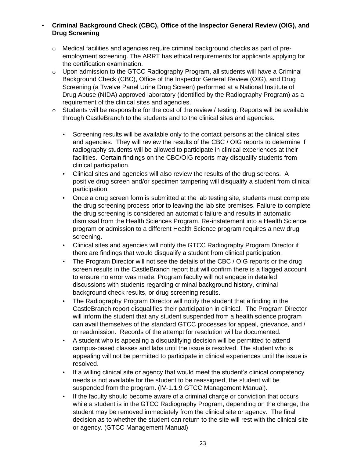### • **Criminal Background Check (CBC), Office of the Inspector General Review (OIG), and Drug Screening**

- $\circ$  Medical facilities and agencies require criminal background checks as part of preemployment screening. The ARRT has ethical requirements for applicants applying for the certification examination.
- $\circ$  Upon admission to the GTCC Radiography Program, all students will have a Criminal Background Check (CBC), Office of the Inspector General Review (OIG), and Drug Screening (a Twelve Panel Urine Drug Screen) performed at a National Institute of Drug Abuse (NIDA) approved laboratory (identified by the Radiography Program) as a requirement of the clinical sites and agencies.
- $\circ$  Students will be responsible for the cost of the review / testing. Reports will be available through CastleBranch to the students and to the clinical sites and agencies.
	- Screening results will be available only to the contact persons at the clinical sites and agencies. They will review the results of the CBC / OIG reports to determine if radiography students will be allowed to participate in clinical experiences at their facilities. Certain findings on the CBC/OIG reports may disqualify students from clinical participation.
	- Clinical sites and agencies will also review the results of the drug screens. A positive drug screen and/or specimen tampering will disqualify a student from clinical participation.
	- Once a drug screen form is submitted at the lab testing site, students must complete the drug screening process prior to leaving the lab site premises. Failure to complete the drug screening is considered an automatic failure and results in automatic dismissal from the Health Sciences Program. Re-instatement into a Health Science program or admission to a different Health Science program requires a new drug screening.
	- Clinical sites and agencies will notify the GTCC Radiography Program Director if there are findings that would disqualify a student from clinical participation.
	- The Program Director will not see the details of the CBC / OIG reports or the drug screen results in the CastleBranch report but will confirm there is a flagged account to ensure no error was made. Program faculty will not engage in detailed discussions with students regarding criminal background history, criminal background check results, or drug screening results.
	- The Radiography Program Director will notify the student that a finding in the CastleBranch report disqualifies their participation in clinical. The Program Director will inform the student that any student suspended from a health science program can avail themselves of the standard GTCC processes for appeal, grievance, and / or readmission. Records of the attempt for resolution will be documented.
	- A student who is appealing a disqualifying decision will be permitted to attend campus-based classes and labs until the issue is resolved. The student who is appealing will not be permitted to participate in clinical experiences until the issue is resolved.
	- If a willing clinical site or agency that would meet the student's clinical competency needs is not available for the student to be reassigned, the student will be suspended from the program. (IV-1.1.9 GTCC Management Manual).
	- If the faculty should become aware of a criminal charge or conviction that occurs while a student is in the GTCC Radiography Program, depending on the charge, the student may be removed immediately from the clinical site or agency. The final decision as to whether the student can return to the site will rest with the clinical site or agency. (GTCC Management Manual)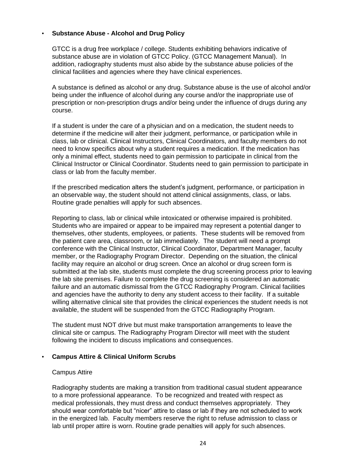### • **Substance Abuse - Alcohol and Drug Policy**

GTCC is a drug free workplace / college. Students exhibiting behaviors indicative of substance abuse are in violation of GTCC Policy. (GTCC Management Manual). In addition, radiography students must also abide by the substance abuse policies of the clinical facilities and agencies where they have clinical experiences.

A substance is defined as alcohol or any drug. Substance abuse is the use of alcohol and/or being under the influence of alcohol during any course and/or the inappropriate use of prescription or non-prescription drugs and/or being under the influence of drugs during any course.

If a student is under the care of a physician and on a medication, the student needs to determine if the medicine will alter their judgment, performance, or participation while in class, lab or clinical. Clinical Instructors, Clinical Coordinators, and faculty members do not need to know specifics about why a student requires a medication. If the medication has only a minimal effect, students need to gain permission to participate in clinical from the Clinical Instructor or Clinical Coordinator. Students need to gain permission to participate in class or lab from the faculty member.

If the prescribed medication alters the student's judgment, performance, or participation in an observable way, the student should not attend clinical assignments, class, or labs. Routine grade penalties will apply for such absences.

Reporting to class, lab or clinical while intoxicated or otherwise impaired is prohibited. Students who are impaired or appear to be impaired may represent a potential danger to themselves, other students, employees, or patients. These students will be removed from the patient care area, classroom, or lab immediately. The student will need a prompt conference with the Clinical Instructor, Clinical Coordinator, Department Manager, faculty member, or the Radiography Program Director. Depending on the situation, the clinical facility may require an alcohol or drug screen. Once an alcohol or drug screen form is submitted at the lab site, students must complete the drug screening process prior to leaving the lab site premises. Failure to complete the drug screening is considered an automatic failure and an automatic dismissal from the GTCC Radiography Program. Clinical facilities and agencies have the authority to deny any student access to their facility. If a suitable willing alternative clinical site that provides the clinical experiences the student needs is not available, the student will be suspended from the GTCC Radiography Program.

The student must NOT drive but must make transportation arrangements to leave the clinical site or campus. The Radiography Program Director will meet with the student following the incident to discuss implications and consequences.

### • **Campus Attire & Clinical Uniform Scrubs**

### Campus Attire

Radiography students are making a transition from traditional casual student appearance to a more professional appearance. To be recognized and treated with respect as medical professionals, they must dress and conduct themselves appropriately. They should wear comfortable but "nicer" attire to class or lab if they are not scheduled to work in the energized lab. Faculty members reserve the right to refuse admission to class or lab until proper attire is worn. Routine grade penalties will apply for such absences.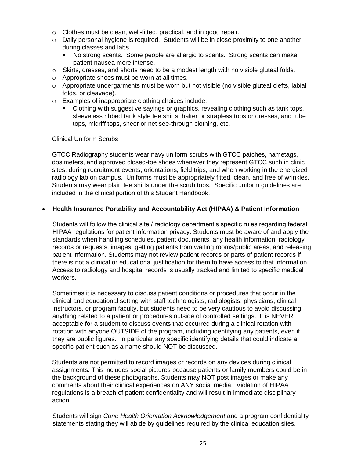- o Clothes must be clean, well-fitted, practical, and in good repair.
- $\circ$  Daily personal hygiene is required. Students will be in close proximity to one another during classes and labs.
	- No strong scents. Some people are allergic to scents. Strong scents can make patient nausea more intense.
- o Skirts, dresses, and shorts need to be a modest length with no visible gluteal folds.
- o Appropriate shoes must be worn at all times.
- $\circ$  Appropriate undergarments must be worn but not visible (no visible gluteal clefts, labial folds, or cleavage).
- o Examples of inappropriate clothing choices include:
	- Clothing with suggestive sayings or graphics, revealing clothing such as tank tops, sleeveless ribbed tank style tee shirts, halter or strapless tops or dresses, and tube tops, midriff tops, sheer or net see-through clothing, etc.

### Clinical Uniform Scrubs

GTCC Radiography students wear navy uniform scrubs with GTCC patches, nametags, dosimeters, and approved closed-toe shoes whenever they represent GTCC such in clinic sites, during recruitment events, orientations, field trips, and when working in the energized radiology lab on campus. Uniforms must be appropriately fitted, clean, and free of wrinkles. Students may wear plain tee shirts under the scrub tops. Specific uniform guidelines are included in the clinical portion of this Student Handbook.

### • **Health Insurance Portability and Accountability Act (HIPAA) & Patient Information**

Students will follow the clinical site / radiology department's specific rules regarding federal HIPAA regulations for patient information privacy. Students must be aware of and apply the standards when handling schedules, patient documents, any health information, radiology records or requests, images, getting patients from waiting rooms/public areas, and releasing patient information. Students may not review patient records or parts of patient records if there is not a clinical or educational justification for them to have access to that information. Access to radiology and hospital records is usually tracked and limited to specific medical workers.

Sometimes it is necessary to discuss patient conditions or procedures that occur in the clinical and educational setting with staff technologists, radiologists, physicians, clinical instructors, or program faculty, but students need to be very cautious to avoid discussing anything related to a patient or procedures outside of controlled settings. It is NEVER acceptable for a student to discuss events that occurred during a clinical rotation with rotation with anyone OUTSIDE of the program, including identifying any patients, even if they are public figures. In particular,any specific identifying details that could indicate a specific patient such as a name should NOT be discussed.

Students are not permitted to record images or records on any devices during clinical assignments. This includes social pictures because patients or family members could be in the background of these photographs. Students may NOT post images or make any comments about their clinical experiences on ANY social media. Violation of HIPAA regulations is a breach of patient confidentiality and will result in immediate disciplinary action.

Students will sign *Cone Health Orientation Acknowledgement* and a program confidentiality statements stating they will abide by guidelines required by the clinical education sites.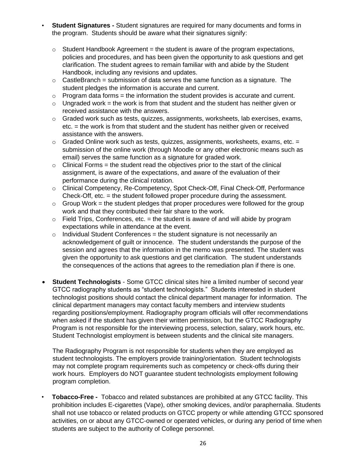- **Student Signatures -** Student signatures are required for many documents and forms in the program. Students should be aware what their signatures signify:
	- $\circ$  Student Handbook Agreement = the student is aware of the program expectations, policies and procedures, and has been given the opportunity to ask questions and get clarification. The student agrees to remain familiar with and abide by the Student Handbook, including any revisions and updates.
	- $\circ$  CastleBranch = submission of data serves the same function as a signature. The student pledges the information is accurate and current.
	- $\circ$  Program data forms = the information the student provides is accurate and current.
	- $\circ$  Ungraded work = the work is from that student and the student has neither given or received assistance with the answers.
	- o Graded work such as tests, quizzes, assignments, worksheets, lab exercises, exams, etc. = the work is from that student and the student has neither given or received assistance with the answers.
	- $\circ$  Graded Online work such as tests, quizzes, assignments, worksheets, exams, etc. = submission of the online work (through Moodle or any other electronic means such as email) serves the same function as a signature for graded work.
	- $\circ$  Clinical Forms = the student read the objectives prior to the start of the clinical assignment, is aware of the expectations, and aware of the evaluation of their performance during the clinical rotation.
	- o Clinical Competency, Re-Competency, Spot Check-Off, Final Check-Off, Performance Check-Off, etc. = the student followed proper procedure during the assessment.
	- $\circ$  Group Work = the student pledges that proper procedures were followed for the group work and that they contributed their fair share to the work.
	- $\circ$  Field Trips, Conferences, etc. = the student is aware of and will abide by program expectations while in attendance at the event.
	- $\circ$  Individual Student Conferences = the student signature is not necessarily an acknowledgement of guilt or innocence. The student understands the purpose of the session and agrees that the information in the memo was presented. The student was given the opportunity to ask questions and get clarification. The student understands the consequences of the actions that agrees to the remediation plan if there is one.
- **Student Technologists** Some GTCC clinical sites hire a limited number of second year GTCC radiography students as "student technologists." Students interested in student technologist positions should contact the clinical department manager for information. The clinical department managers may contact faculty members and interview students regarding positions/employment. Radiography program officials will offer recommendations when asked if the student has given their written permission, but the GTCC Radiography Program is not responsible for the interviewing process, selection, salary, work hours, etc. Student Technologist employment is between students and the clinical site managers.

The Radiography Program is not responsible for students when they are employed as student technologists. The employers provide training/orientation. Student technologists may not complete program requirements such as competency or check-offs during their work hours. Employers do NOT guarantee student technologists employment following program completion.

• **Tobacco-Free -** Tobacco and related substances are prohibited at any GTCC facility. This prohibition includes E-cigarettes (Vape), other smoking devices, and/or paraphernalia. Students shall not use tobacco or related products on GTCC property or while attending GTCC sponsored activities, on or about any GTCC-owned or operated vehicles, or during any period of time when students are subject to the authority of College personnel.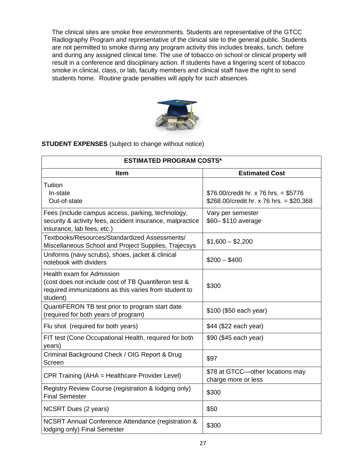The clinical sites are smoke free environments. Students are representative of the GTCC Radiography Program and representative of the clinical site to the general public. Students are not permitted to smoke during any program activity this includes breaks, lunch, before and during any assigned clinical time. The use of tobacco on school or clinical property will result in a conference and disciplinary action. If students have a lingering scent of tobacco smoke in clinical, class, or lab, faculty members and clinical staff have the right to send students home. Routine grade penalties will apply for such absences.



**STUDENT EXPENSES** (subject to change without notice)

| <b>ESTIMATED PROGRAM COSTS*</b>                                                                                                                        |                                                                                   |  |  |  |  |
|--------------------------------------------------------------------------------------------------------------------------------------------------------|-----------------------------------------------------------------------------------|--|--|--|--|
| <b>Item</b>                                                                                                                                            | <b>Estimated Cost</b>                                                             |  |  |  |  |
| Tuition<br>In-state<br>Out-of-state                                                                                                                    | \$76.00/credit hr. x 76 hrs. = \$5776<br>\$268.00/credit hr. x 76 hrs. = \$20,368 |  |  |  |  |
| Fees (include campus access, parking, technology,<br>security & activity fees, accident insurance, malpractice<br>insurance, lab fees, etc.)           | Vary per semester<br>\$60-\$110 average                                           |  |  |  |  |
| Textbooks/Resources/Standardized Assessments/<br>Miscellaneous School and Project Supplies, Trajecsys                                                  | $$1,600 - $2,200$                                                                 |  |  |  |  |
| Uniforms (navy scrubs), shoes, jacket & clinical<br>notebook with dividers                                                                             | $$200 - $400$                                                                     |  |  |  |  |
| Health exam for Admission<br>(cost does not include cost of TB Quantiferon test &<br>required immunizations as this varies from student to<br>student) | \$300                                                                             |  |  |  |  |
| QuantiFERON TB test prior to program start date<br>(required for both years of program)                                                                | \$100 (\$50 each year)                                                            |  |  |  |  |
| Flu shot (required for both years)                                                                                                                     | \$44 (\$22 each year)                                                             |  |  |  |  |
| FIT test (Cone Occupational Health, required for both<br>years)                                                                                        | \$90 (\$45 each year)                                                             |  |  |  |  |
| Criminal Background Check / OIG Report & Drug<br>Screen                                                                                                | \$97                                                                              |  |  |  |  |
| CPR Training (AHA = Healthcare Provider Level)                                                                                                         | \$78 at GTCC-other locations may<br>charge more or less                           |  |  |  |  |
| Registry Review Course (registration & lodging only)<br><b>Final Semester</b>                                                                          | \$300                                                                             |  |  |  |  |
| NCSRT Dues (2 years)                                                                                                                                   | \$50                                                                              |  |  |  |  |
| NCSRT Annual Conference Attendance (registration &<br>lodging only) Final Semester                                                                     | \$300                                                                             |  |  |  |  |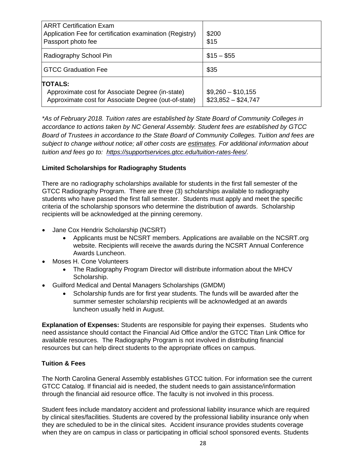| <b>ARRT Certification Exam</b><br>Application Fee for certification examination (Registry)<br>Passport photo fee           | \$200<br>\$15                             |
|----------------------------------------------------------------------------------------------------------------------------|-------------------------------------------|
| Radiography School Pin                                                                                                     | $$15 - $55$                               |
| GTCC Graduation Fee                                                                                                        | \$35                                      |
| <b>TOTALS:</b><br>Approximate cost for Associate Degree (in-state)<br>Approximate cost for Associate Degree (out-of-state) | $$9,260 - $10,155$<br>$$23,852 - $24,747$ |

*\*As of February 2018. Tuition rates are established by State Board of Community Colleges in accordance to actions taken by NC General Assembly. Student fees are established by GTCC Board of Trustees in accordance to the State Board of Community Colleges. Tuition and fees are subject to change without notice; all other costs are estimates. For additional information about tuition and fees go to: [https://supportservices.gtcc.edu/tuition-rates-fees/.](https://supportservices.gtcc.edu/tuition-rates-fees/)*

### **Limited Scholarships for Radiography Students**

There are no radiography scholarships available for students in the first fall semester of the GTCC Radiography Program. There are three (3) scholarships available to radiography students who have passed the first fall semester. Students must apply and meet the specific criteria of the scholarship sponsors who determine the distribution of awards. Scholarship recipients will be acknowledged at the pinning ceremony.

- Jane Cox Hendrix Scholarship (NCSRT)
	- Applicants must be NCSRT members. Applications are available on the NCSRT.org website. Recipients will receive the awards during the NCSRT Annual Conference Awards Luncheon.
- Moses H. Cone Volunteers
	- The Radiography Program Director will distribute information about the MHCV Scholarship.
- Guilford Medical and Dental Managers Scholarships (GMDM)
	- Scholarship funds are for first year students. The funds will be awarded after the summer semester scholarship recipients will be acknowledged at an awards luncheon usually held in August.

**Explanation of Expenses:** Students are responsible for paying their expenses. Students who need assistance should contact the Financial Aid Office and/or the GTCC Titan Link Office for available resources. The Radiography Program is not involved in distributing financial resources but can help direct students to the appropriate offices on campus.

### **Tuition & Fees**

The North Carolina General Assembly establishes GTCC tuition. For information see the current GTCC Catalog. If financial aid is needed, the student needs to gain assistance/information through the financial aid resource office. The faculty is not involved in this process.

Student fees include mandatory accident and professional liability insurance which are required by clinical sites/facilities. Students are covered by the professional liability insurance only when they are scheduled to be in the clinical sites. Accident insurance provides students coverage when they are on campus in class or participating in official school sponsored events. Students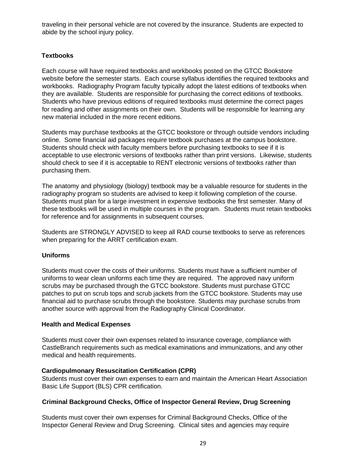traveling in their personal vehicle are not covered by the insurance. Students are expected to abide by the school injury policy.

### **Textbooks**

Each course will have required textbooks and workbooks posted on the GTCC Bookstore website before the semester starts. Each course syllabus identifies the required textbooks and workbooks. Radiography Program faculty typically adopt the latest editions of textbooks when they are available. Students are responsible for purchasing the correct editions of textbooks. Students who have previous editions of required textbooks must determine the correct pages for reading and other assignments on their own. Students will be responsible for learning any new material included in the more recent editions.

Students may purchase textbooks at the GTCC bookstore or through outside vendors including online. Some financial aid packages require textbook purchases at the campus bookstore. Students should check with faculty members before purchasing textbooks to see if it is acceptable to use electronic versions of textbooks rather than print versions. Likewise, students should check to see if it is acceptable to RENT electronic versions of textbooks rather than purchasing them.

The anatomy and physiology (biology) textbook may be a valuable resource for students in the radiography program so students are advised to keep it following completion of the course. Students must plan for a large investment in expensive textbooks the first semester. Many of these textbooks will be used in multiple courses in the program. Students must retain textbooks for reference and for assignments in subsequent courses.

Students are STRONGLY ADVISED to keep all RAD course textbooks to serve as references when preparing for the ARRT certification exam.

### **Uniforms**

Students must cover the costs of their uniforms. Students must have a sufficient number of uniforms to wear clean uniforms each time they are required. The approved navy uniform scrubs may be purchased through the GTCC bookstore. Students must purchase GTCC patches to put on scrub tops and scrub jackets from the GTCC bookstore. Students may use financial aid to purchase scrubs through the bookstore. Students may purchase scrubs from another source with approval from the Radiography Clinical Coordinator.

### **Health and Medical Expenses**

Students must cover their own expenses related to insurance coverage, compliance with CastleBranch requirements such as medical examinations and immunizations, and any other medical and health requirements.

### **Cardiopulmonary Resuscitation Certification (CPR)**

Students must cover their own expenses to earn and maintain the American Heart Association Basic Life Support (BLS) CPR certification.

### **Criminal Background Checks, Office of Inspector General Review, Drug Screening**

Students must cover their own expenses for Criminal Background Checks, Office of the Inspector General Review and Drug Screening. Clinical sites and agencies may require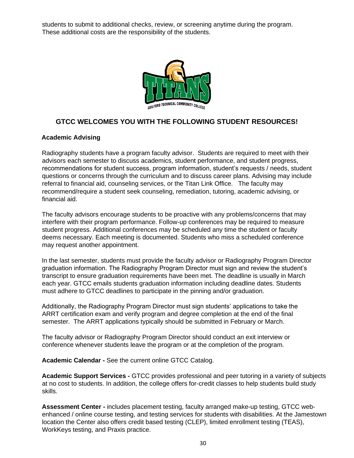students to submit to additional checks, review, or screening anytime during the program. These additional costs are the responsibility of the students.



### **GTCC WELCOMES YOU WITH THE FOLLOWING STUDENT RESOURCES!**

### **Academic Advising**

Radiography students have a program faculty advisor. Students are required to meet with their advisors each semester to discuss academics, student performance, and student progress, recommendations for student success, program information, student's requests / needs, student questions or concerns through the curriculum and to discuss career plans. Advising may include referral to financial aid, counseling services, or the Titan Link Office. The faculty may recommend/require a student seek counseling, remediation, tutoring, academic advising, or financial aid.

The faculty advisors encourage students to be proactive with any problems/concerns that may interfere with their program performance. Follow-up conferences may be required to measure student progress. Additional conferences may be scheduled any time the student or faculty deems necessary. Each meeting is documented. Students who miss a scheduled conference may request another appointment.

In the last semester, students must provide the faculty advisor or Radiography Program Director graduation information. The Radiography Program Director must sign and review the student's transcript to ensure graduation requirements have been met. The deadline is usually in March each year. GTCC emails students graduation information including deadline dates. Students must adhere to GTCC deadlines to participate in the pinning and/or graduation.

Additionally, the Radiography Program Director must sign students' applications to take the ARRT certification exam and verify program and degree completion at the end of the final semester. The ARRT applications typically should be submitted in February or March.

The faculty advisor or Radiography Program Director should conduct an exit interview or conference whenever students leave the program or at the completion of the program.

**Academic Calendar -** See the current online GTCC Catalog.

**Academic Support Services -** GTCC provides professional and peer tutoring in a variety of subjects at no cost to students. In addition, the college offers for-credit classes to help students build study skills.

**Assessment Center -** includes placement testing, faculty arranged make-up testing, GTCC webenhanced / online course testing, and testing services for students with disabilities. At the Jamestown location the Center also offers credit based testing (CLEP), limited enrollment testing (TEAS), WorkKeys testing, and Praxis practice.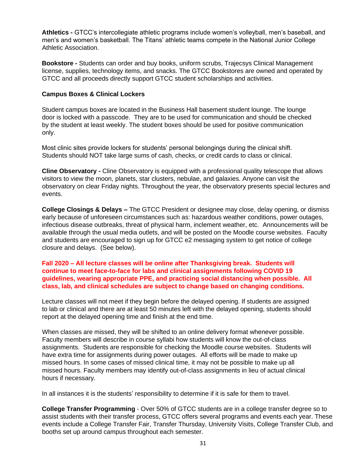**Athletics -** GTCC's intercollegiate athletic programs include women's volleyball, men's baseball, and men's and women's basketball. The Titans' athletic teams compete in the National Junior College Athletic Association.

**Bookstore -** Students can order and buy books, uniform scrubs, Trajecsys Clinical Management license, supplies, technology items, and snacks. The GTCC Bookstores are owned and operated by GTCC and all proceeds directly support GTCC student scholarships and activities.

### **Campus Boxes & Clinical Lockers**

Student campus boxes are located in the Business Hall basement student lounge. The lounge door is locked with a passcode. They are to be used for communication and should be checked by the student at least weekly. The student boxes should be used for positive communication only.

Most clinic sites provide lockers for students' personal belongings during the clinical shift. Students should NOT take large sums of cash, checks, or credit cards to class or clinical.

**Cline Observatory -** Cline Observatory is equipped with a professional quality telescope that allows visitors to view the moon, planets, star clusters, nebulae, and galaxies. Anyone can visit the observatory on clear Friday nights. Throughout the year, the observatory presents special lectures and events.

**College Closings & Delays –** The GTCC President or designee may close, delay opening, or dismiss early because of unforeseen circumstances such as: hazardous weather conditions, power outages, infectious disease outbreaks, threat of physical harm, inclement weather, etc. Announcements will be available through the usual media outlets, and will be posted on the Moodle course websites. Faculty and students are encouraged to sign up for GTCC e2 messaging system to get notice of college closure and delays. (See below).

### **Fall 2020 – All lecture classes will be online after Thanksgiving break. Students will continue to meet face-to-face for labs and clinical assignments following COVID 19 guidelines, wearing appropriate PPE, and practicing social distancing when possible. All class, lab, and clinical schedules are subject to change based on changing conditions.**

Lecture classes will not meet if they begin before the delayed opening. If students are assigned to lab or clinical and there are at least 50 minutes left with the delayed opening, students should report at the delayed opening time and finish at the end time.

When classes are missed, they will be shifted to an online delivery format whenever possible. Faculty members will describe in course syllabi how students will know the out-of-class assignments. Students are responsible for checking the Moodle course websites. Students will have extra time for assignments during power outages. All efforts will be made to make up missed hours. In some cases of missed clinical time, it may not be possible to make up all missed hours. Faculty members may identify out-of-class assignments in lieu of actual clinical hours if necessary.

In all instances it is the students' responsibility to determine if it is safe for them to travel.

**College Transfer Programming** - Over 50% of GTCC students are in a college transfer degree so to assist students with their transfer process, GTCC offers several programs and events each year. These events include a College Transfer Fair, Transfer Thursday, University Visits, College Transfer Club, and booths set up around campus throughout each semester.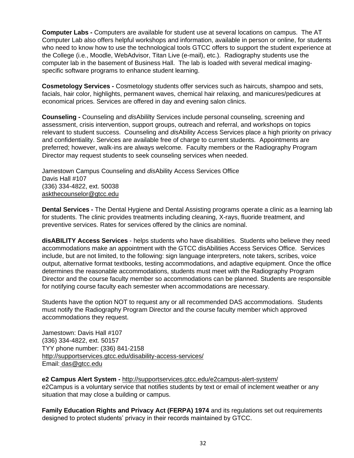**Computer Labs -** Computers are available for student use at several locations on campus. The AT Computer Lab also offers helpful workshops and information, available in person or online, for students who need to know how to use the technological tools GTCC offers to support the student experience at the College (i.e., Moodle, WebAdvisor, Titan Live (e-mail), etc.). Radiography students use the computer lab in the basement of Business Hall. The lab is loaded with several medical imagingspecific software programs to enhance student learning.

**Cosmetology Services -** Cosmetology students offer services such as haircuts, shampoo and sets, facials, hair color, highlights, permanent waves, chemical hair relaxing, and manicures/pedicures at economical prices. Services are offered in day and evening salon clinics.

**Counseling -** Counseling and *dis*Abililty Services include personal counseling, screening and assessment, crisis intervention, support groups, outreach and referral, and workshops on topics relevant to student success. Counseling and *dis*Ability Access Services place a high priority on privacy and confidentiality. Services are available free of charge to current students. Appointments are preferred; however, walk-ins are always welcome. Faculty members or the Radiography Program Director may request students to seek counseling services when needed.

Jamestown Campus Counseling and *dis*Ability Access Services Office Davis Hall #107 (336) 334-4822, ext. 50038 [askthecounselor@gtcc.edu](mailto:askthecounselor@gtcc.edu)

**Dental Services -** The Dental Hygiene and Dental Assisting programs operate a clinic as a learning lab for students. The clinic provides treatments including cleaning, X-rays, fluoride treatment, and preventive services. Rates for services offered by the clinics are nominal.

**disABILITY Access Services** - helps students who have disabilities. Students who believe they need accommodations make an appointment with the GTCC disAbilities Access Services Office. Services include, but are not limited, to the following: sign language interpreters, note takers, scribes, voice output, alternative format textbooks, testing accommodations, and adaptive equipment. Once the office determines the reasonable accommodations, students must meet with the Radiography Program Director and the course faculty member so accommodations can be planned. Students are responsible for notifying course faculty each semester when accommodations are necessary.

Students have the option NOT to request any or all recommended DAS accommodations. Students must notify the Radiography Program Director and the course faculty member which approved accommodations they request.

Jamestown: Davis Hall #107 (336) 334-4822, ext. 50157 TYY phone number: (336) 841-2158 <http://supportservices.gtcc.edu/disability-access-services/> Email: [das@gtcc.edu](mailto:das@gtcc.edu)

**e2 Campus Alert System -** <http://supportservices.gtcc.edu/e2campus-alert-system/> e2Campus is a voluntary service that notifies students by text or email of inclement weather or any situation that may close a building or campus.

**Family Education Rights and Privacy Act (FERPA) 1974** and its regulations set out requirements designed to protect students' privacy in their records maintained by GTCC.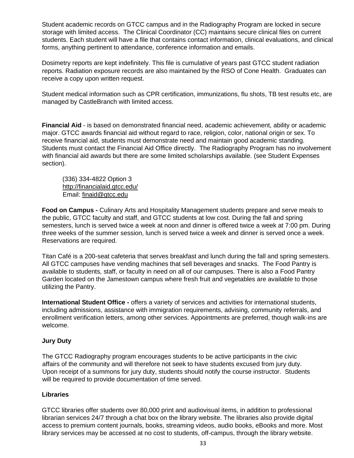Student academic records on GTCC campus and in the Radiography Program are locked in secure storage with limited access. The Clinical Coordinator (CC) maintains secure clinical files on current students. Each student will have a file that contains contact information, clinical evaluations, and clinical forms, anything pertinent to attendance, conference information and emails.

Dosimetry reports are kept indefinitely. This file is cumulative of years past GTCC student radiation reports. Radiation exposure records are also maintained by the RSO of Cone Health. Graduates can receive a copy upon written request.

Student medical information such as CPR certification, immunizations, flu shots, TB test results etc, are managed by CastleBranch with limited access.

**Financial Aid** - is based on demonstrated financial need, academic achievement, ability or academic major. GTCC awards financial aid without regard to race, religion, color, national origin or sex. To receive financial aid, students must demonstrate need and maintain good academic standing. Students must contact the Financial Aid Office directly. The Radiography Program has no involvement with financial aid awards but there are some limited scholarships available. (see Student Expenses section).

(336) 334-4822 Option 3 <http://financialaid.gtcc.edu/> Email: [finaid@gtcc.edu](mailto:finaid@gtcc.edu)

**Food on Campus -** Culinary Arts and Hospitality Management students prepare and serve meals to the public, GTCC faculty and staff, and GTCC students at low cost. During the fall and spring semesters, lunch is served twice a week at noon and dinner is offered twice a week at 7:00 pm. During three weeks of the summer session, lunch is served twice a week and dinner is served once a week. Reservations are required.

Titan Café is a 200-seat cafeteria that serves breakfast and lunch during the fall and spring semesters. All GTCC campuses have vending machines that sell beverages and snacks. The Food Pantry is available to students, staff, or faculty in need on all of our campuses. There is also a Food Pantry Garden located on the Jamestown campus where fresh fruit and vegetables are available to those utilizing the Pantry.

**International Student Office -** offers a variety of services and activities for international students, including admissions, assistance with immigration requirements, advising, community referrals, and enrollment verification letters, among other services. Appointments are preferred, though walk-ins are welcome.

### **Jury Duty**

The GTCC Radiography program encourages students to be active participants in the civic affairs of the community and will therefore not seek to have students excused from jury duty. Upon receipt of a summons for jury duty, students should notify the course instructor. Students will be required to provide documentation of time served.

### **Libraries**

GTCC libraries offer students over 80,000 print and audiovisual items, in addition to professional librarian services 24/7 through a chat box on the library website. The libraries also provide digital access to premium content journals, books, streaming videos, audio books, eBooks and more. Most library services may be accessed at no cost to students, off-campus, through the library website.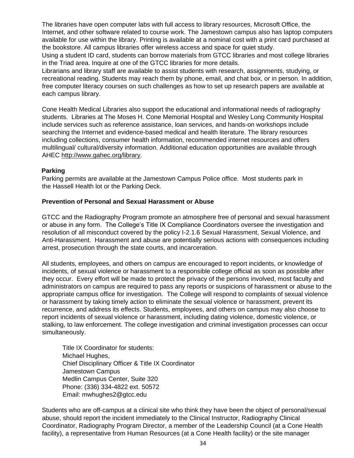The libraries have open computer labs with full access to library resources, Microsoft Office, the Internet, and other software related to course work. The Jamestown campus also has laptop computers available for use within the library. Printing is available at a nominal cost with a print card purchased at the bookstore. All campus libraries offer wireless access and space for quiet study.

Using a student ID card, students can borrow materials from GTCC libraries and most college libraries in the Triad area. Inquire at one of the GTCC libraries for more details.

Librarians and library staff are available to assist students with research, assignments, studying, or recreational reading. Students may reach them by phone, email, and chat box, or in person. In addition, free computer literacy courses on such challenges as how to set up research papers are available at each campus library.

Cone Health Medical Libraries also support the educational and informational needs of radiography students. Libraries at The Moses H. Cone Memorial Hospital and Wesley Long Community Hospital include services such as reference assistance, loan services, and hands-on workshops include searching the Internet and evidence-based medical and health literature. The library resources including collections, consumer health information, recommended internet resources and offers multilingual/ cultural/diversity information. Additional education opportunities are available through AHEC [http://www.gahec.org/library.](http://www.gahec.org/library) 

### **Parking**

Parking permits are available at the Jamestown Campus Police office. Most students park in the Hassell Health lot or the Parking Deck.

### **Prevention of Personal and Sexual Harassment or Abuse**

GTCC and the Radiography Program promote an atmosphere free of personal and sexual harassment or abuse in any form. The College's Title IX Compliance Coordinators oversee the investigation and resolution of all misconduct covered by the policy I-2.1.6 Sexual Harassment, Sexual Violence, and Anti-Harassment. Harassment and abuse are potentially serious actions with consequences including arrest, prosecution through the state courts, and incarceration.

All students, employees, and others on campus are encouraged to report incidents, or knowledge of incidents, of sexual violence or harassment to a responsible college official as soon as possible after they occur. Every effort will be made to protect the privacy of the persons involved, most faculty and administrators on campus are required to pass any reports or suspicions of harassment or abuse to the appropriate campus office for investigation. The College will respond to complaints of sexual violence or harassment by taking timely action to eliminate the sexual violence or harassment, prevent its recurrence, and address its effects. Students, employees, and others on campus may also choose to report incidents of sexual violence or harassment, including dating violence, domestic violence, or stalking, to law enforcement. The college investigation and criminal investigation processes can occur simultaneously.

Title IX Coordinator for students: Michael Hughes, Chief Disciplinary Officer & Title IX Coordinator Jamestown Campus Medlin Campus Center, Suite 320 Phone: (336) 334-4822 ext. 50572 Email: mwhughes2@gtcc.edu

Students who are off-campus at a clinical site who think they have been the object of personal/sexual abuse, should report the incident immediately to the Clinical Instructor, Radiography Clinical Coordinator, Radiography Program Director, a member of the Leadership Council (at a Cone Health facility), a representative from Human Resources (at a Cone Health facility) or the site manager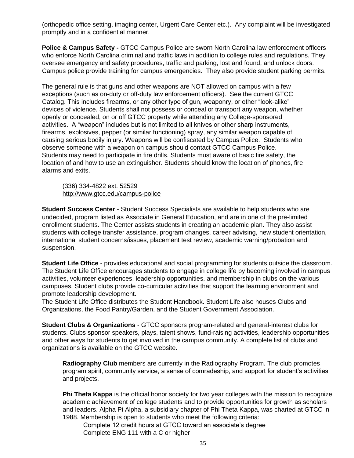(orthopedic office setting, imaging center, Urgent Care Center etc.). Any complaint will be investigated promptly and in a confidential manner.

**Police & Campus Safety -** GTCC Campus Police are sworn North Carolina law enforcement officers who enforce North Carolina criminal and traffic laws in addition to college rules and regulations. They oversee emergency and safety procedures, traffic and parking, lost and found, and unlock doors. Campus police provide training for campus emergencies. They also provide student parking permits.

The general rule is that guns and other weapons are NOT allowed on campus with a few exceptions (such as on-duty or off-duty law enforcement officers). See the current GTCC Catalog. This includes firearms, or any other type of gun, weaponry, or other "look-alike" devices of violence. Students shall not possess or conceal or transport any weapon, whether openly or concealed, on or off GTCC property while attending any College-sponsored activities. A "weapon" includes but is not limited to all knives or other sharp instruments, firearms, explosives, pepper (or similar functioning) spray, any similar weapon capable of causing serious bodily injury. Weapons will be confiscated by Campus Police. Students who observe someone with a weapon on campus should contact GTCC Campus Police. Students may need to participate in fire drills. Students must aware of basic fire safety, the location of and how to use an extinguisher. Students should know the location of phones, fire alarms and exits.

(336) 334-4822 ext. 52529 <http://www.gtcc.edu/campus-police>

**Student Success Center** - Student Success Specialists are available to help students who are undecided, program listed as Associate in General Education, and are in one of the pre-limited enrollment students. The Center assists students in creating an academic plan. They also assist students with college transfer assistance, program changes, career advising, new student orientation, international student concerns/issues, placement test review, academic warning/probation and suspension.

**Student Life Office** - provides educational and social programming for students outside the classroom. The Student Life Office encourages students to engage in college life by becoming involved in campus activities, volunteer experiences, leadership opportunities, and membership in clubs on the various campuses. Student clubs provide co-curricular activities that support the learning environment and promote leadership development.

The Student Life Office distributes the Student Handbook. Student Life also houses Clubs and Organizations, the Food Pantry/Garden, and the Student Government Association.

**Student Clubs & Organizations** - GTCC sponsors program-related and general-interest clubs for students. Clubs sponsor speakers, plays, talent shows, fund-raising activities, leadership opportunities and other ways for students to get involved in the campus community. A complete list of clubs and organizations is available on the GTCC website.

**Radiography Club** members are currently in the Radiography Program. The club promotes program spirit, community service, a sense of comradeship, and support for student's activities and projects.

**Phi Theta Kappa** is the official honor society for two year colleges with the mission to recognize academic achievement of college students and to provide opportunities for growth as scholars and leaders. Alpha Pi Alpha, a subsidiary chapter of Phi Theta Kappa, was charted at GTCC in 1988. Membership is open to students who meet the following criteria:

Complete 12 credit hours at GTCC toward an associate's degree Complete ENG 111 with a C or higher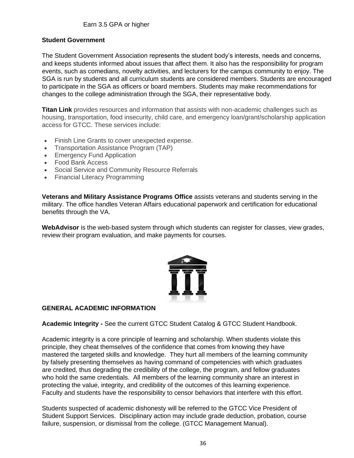### **Student Government**

The Student Government Association represents the student body's interests, needs and concerns, and keeps students informed about issues that affect them. It also has the responsibility for program events, such as comedians, novelty activities, and lecturers for the campus community to enjoy. The SGA is run by students and all curriculum students are considered members. Students are encouraged to participate in the SGA as officers or board members. Students may make recommendations for changes to the college administration through the SGA, their representative body.

**Titan Link** provides resources and information that assists with non-academic challenges such as housing, transportation, food insecurity, child care, and emergency loan/grant/scholarship application access for GTCC. These services include:

- Finish Line Grants to cover unexpected expense.
- Transportation Assistance Program (TAP)
- Emergency Fund Application
- Food Bank Access
- Social Service and Community Resource Referrals
- Financial Literacy Programming

**Veterans and Military Assistance Programs Office** assists veterans and students serving in the military. The office handles Veteran Affairs educational paperwork and certification for educational benefits through the VA.

**WebAdvisor** is the web-based system through which students can register for classes, view grades, review their program evaluation, and make payments for courses.



### **GENERAL ACADEMIC INFORMATION**

**Academic Integrity -** See the current GTCC Student Catalog & GTCC Student Handbook.

Academic integrity is a core principle of learning and scholarship. When students violate this principle, they cheat themselves of the confidence that comes from knowing they have mastered the targeted skills and knowledge. They hurt all members of the learning community by falsely presenting themselves as having command of competencies with which graduates are credited, thus degrading the credibility of the college, the program, and fellow graduates who hold the same credentials. All members of the learning community share an interest in protecting the value, integrity, and credibility of the outcomes of this learning experience. Faculty and students have the responsibility to censor behaviors that interfere with this effort.

Students suspected of academic dishonesty will be referred to the GTCC Vice President of Student Support Services. Disciplinary action may include grade deduction, probation, course failure, suspension, or dismissal from the college. (GTCC Management Manual).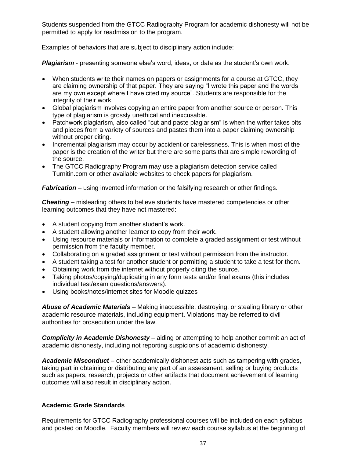Students suspended from the GTCC Radiography Program for academic dishonesty will not be permitted to apply for readmission to the program.

Examples of behaviors that are subject to disciplinary action include:

*Plagiarism* - presenting someone else's word, ideas, or data as the student's own work.

- When students write their names on papers or assignments for a course at GTCC, they are claiming ownership of that paper. They are saying "I wrote this paper and the words are my own except where I have cited my source". Students are responsible for the integrity of their work.
- Global plagiarism involves copying an entire paper from another source or person. This type of plagiarism is grossly unethical and inexcusable.
- Patchwork plagiarism, also called "cut and paste plagiarism" is when the writer takes bits and pieces from a variety of sources and pastes them into a paper claiming ownership without proper citing.
- Incremental plagiarism may occur by accident or carelessness. This is when most of the paper is the creation of the writer but there are some parts that are simple rewording of the source.
- The GTCC Radiography Program may use a plagiarism detection service called Turnitin.com or other available websites to check papers for plagiarism.

*Fabrication* – using invented information or the falsifying research or other findings.

*Cheating* – misleading others to believe students have mastered competencies or other learning outcomes that they have not mastered:

- A student copying from another student's work.
- A student allowing another learner to copy from their work.
- Using resource materials or information to complete a graded assignment or test without permission from the faculty member.
- Collaborating on a graded assignment or test without permission from the instructor.
- A student taking a test for another student or permitting a student to take a test for them.
- Obtaining work from the internet without properly citing the source.
- Taking photos/copying/duplicating in any form tests and/or final exams (this includes individual test/exam questions/answers).
- Using books/notes/internet sites for Moodle quizzes

*Abuse of Academic Materials* – Making inaccessible, destroying, or stealing library or other academic resource materials, including equipment. Violations may be referred to civil authorities for prosecution under the law.

*Complicity in Academic Dishonesty* – aiding or attempting to help another commit an act of academic dishonesty, including not reporting suspicions of academic dishonesty.

*Academic Misconduct* – other academically dishonest acts such as tampering with grades, taking part in obtaining or distributing any part of an assessment, selling or buying products such as papers, research, projects or other artifacts that document achievement of learning outcomes will also result in disciplinary action.

### **Academic Grade Standards**

Requirements for GTCC Radiography professional courses will be included on each syllabus and posted on Moodle. Faculty members will review each course syllabus at the beginning of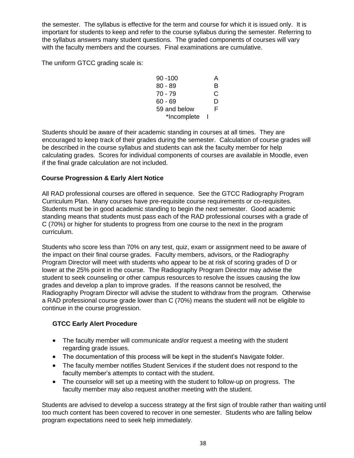the semester. The syllabus is effective for the term and course for which it is issued only. It is important for students to keep and refer to the course syllabus during the semester. Referring to the syllabus answers many student questions. The graded components of courses will vary with the faculty members and the courses. Final examinations are cumulative.

The uniform GTCC grading scale is:

| $90 - 100$   | А |
|--------------|---|
| $80 - 89$    | в |
| 70 - 79      | C |
| 60 - 69      | D |
| 59 and below | F |
| *Incomplete  |   |

Students should be aware of their academic standing in courses at all times. They are encouraged to keep track of their grades during the semester. Calculation of course grades will be described in the course syllabus and students can ask the faculty member for help calculating grades. Scores for individual components of courses are available in Moodle, even if the final grade calculation are not included.

### **Course Progression & Early Alert Notice**

All RAD professional courses are offered in sequence. See the GTCC Radiography Program Curriculum Plan. Many courses have pre-requisite course requirements or co-requisites. Students must be in good academic standing to begin the next semester. Good academic standing means that students must pass each of the RAD professional courses with a grade of C (70%) or higher for students to progress from one course to the next in the program curriculum.

Students who score less than 70% on any test, quiz, exam or assignment need to be aware of the impact on their final course grades. Faculty members, advisors, or the Radiography Program Director will meet with students who appear to be at risk of scoring grades of D or lower at the 25% point in the course. The Radiography Program Director may advise the student to seek counseling or other campus resources to resolve the issues causing the low grades and develop a plan to improve grades. If the reasons cannot be resolved, the Radiography Program Director will advise the student to withdraw from the program. Otherwise a RAD professional course grade lower than C (70%) means the student will not be eligible to continue in the course progression.

### **GTCC Early Alert Procedure**

- The faculty member will communicate and/or request a meeting with the student regarding grade issues.
- The documentation of this process will be kept in the student's Navigate folder.
- The faculty member notifies Student Services if the student does not respond to the faculty member's attempts to contact with the student.
- The counselor will set up a meeting with the student to follow-up on progress. The faculty member may also request another meeting with the student.

Students are advised to develop a success strategy at the first sign of trouble rather than waiting until too much content has been covered to recover in one semester. Students who are falling below program expectations need to seek help immediately.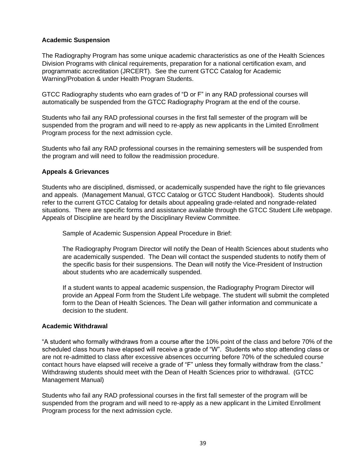### **Academic Suspension**

The Radiography Program has some unique academic characteristics as one of the Health Sciences Division Programs with clinical requirements, preparation for a national certification exam, and programmatic accreditation (JRCERT). See the current GTCC Catalog for Academic Warning/Probation & under Health Program Students.

GTCC Radiography students who earn grades of "D or F" in any RAD professional courses will automatically be suspended from the GTCC Radiography Program at the end of the course.

Students who fail any RAD professional courses in the first fall semester of the program will be suspended from the program and will need to re-apply as new applicants in the Limited Enrollment Program process for the next admission cycle.

Students who fail any RAD professional courses in the remaining semesters will be suspended from the program and will need to follow the readmission procedure.

### **Appeals & Grievances**

Students who are disciplined, dismissed, or academically suspended have the right to file grievances and appeals. (Management Manual, GTCC Catalog or GTCC Student Handbook). Students should refer to the current GTCC Catalog for details about appealing grade-related and nongrade-related situations. There are specific forms and assistance available through the GTCC Student Life webpage. Appeals of Discipline are heard by the Disciplinary Review Committee.

Sample of Academic Suspension Appeal Procedure in Brief:

The Radiography Program Director will notify the Dean of Health Sciences about students who are academically suspended. The Dean will contact the suspended students to notify them of the specific basis for their suspensions. The Dean will notify the Vice-President of Instruction about students who are academically suspended.

If a student wants to appeal academic suspension, the Radiography Program Director will provide an Appeal Form from the Student Life webpage. The student will submit the completed form to the Dean of Health Sciences. The Dean will gather information and communicate a decision to the student.

### **Academic Withdrawal**

"A student who formally withdraws from a course after the 10% point of the class and before 70% of the scheduled class hours have elapsed will receive a grade of "W". Students who stop attending class or are not re-admitted to class after excessive absences occurring before 70% of the scheduled course contact hours have elapsed will receive a grade of "F" unless they formally withdraw from the class." Withdrawing students should meet with the Dean of Health Sciences prior to withdrawal. (GTCC Management Manual)

Students who fail any RAD professional courses in the first fall semester of the program will be suspended from the program and will need to re-apply as a new applicant in the Limited Enrollment Program process for the next admission cycle.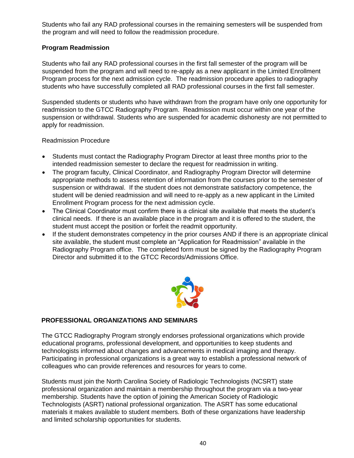Students who fail any RAD professional courses in the remaining semesters will be suspended from the program and will need to follow the readmission procedure.

### **Program Readmission**

Students who fail any RAD professional courses in the first fall semester of the program will be suspended from the program and will need to re-apply as a new applicant in the Limited Enrollment Program process for the next admission cycle. The readmission procedure applies to radiography students who have successfully completed all RAD professional courses in the first fall semester.

Suspended students or students who have withdrawn from the program have only one opportunity for readmission to the GTCC Radiography Program. Readmission must occur within one year of the suspension or withdrawal. Students who are suspended for academic dishonesty are not permitted to apply for readmission.

### Readmission Procedure

- Students must contact the Radiography Program Director at least three months prior to the intended readmission semester to declare the request for readmission in writing.
- The program faculty, Clinical Coordinator, and Radiography Program Director will determine appropriate methods to assess retention of information from the courses prior to the semester of suspension or withdrawal. If the student does not demonstrate satisfactory competence, the student will be denied readmission and will need to re-apply as a new applicant in the Limited Enrollment Program process for the next admission cycle.
- The Clinical Coordinator must confirm there is a clinical site available that meets the student's clinical needs. If there is an available place in the program and it is offered to the student, the student must accept the position or forfeit the readmit opportunity.
- If the student demonstrates competency in the prior courses AND if there is an appropriate clinical site available, the student must complete an "Application for Readmission" available in the Radiography Program office. The completed form must be signed by the Radiography Program Director and submitted it to the GTCC Records/Admissions Office.



### **PROFESSIONAL ORGANIZATIONS AND SEMINARS**

The GTCC Radiography Program strongly endorses professional organizations which provide educational programs, professional development, and opportunities to keep students and technologists informed about changes and advancements in medical imaging and therapy. Participating in professional organizations is a great way to establish a professional network of colleagues who can provide references and resources for years to come.

Students must join the North Carolina Society of Radiologic Technologists (NCSRT) state professional organization and maintain a membership throughout the program via a two-year membership. Students have the option of joining the American Society of Radiologic Technologists (ASRT) national professional organization. The ASRT has some educational materials it makes available to student members. Both of these organizations have leadership and limited scholarship opportunities for students.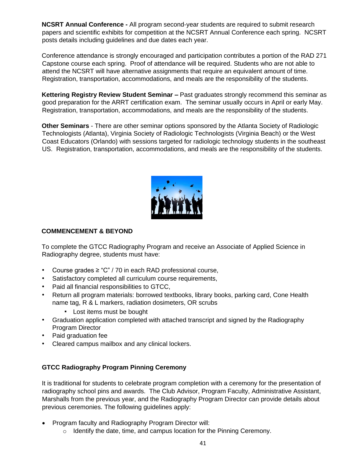**NCSRT Annual Conference -** All program second-year students are required to submit research papers and scientific exhibits for competition at the NCSRT Annual Conference each spring. NCSRT posts details including guidelines and due dates each year.

Conference attendance is strongly encouraged and participation contributes a portion of the RAD 271 Capstone course each spring. Proof of attendance will be required. Students who are not able to attend the NCSRT will have alternative assignments that require an equivalent amount of time. Registration, transportation, accommodations, and meals are the responsibility of the students.

**Kettering Registry Review Student Seminar –** Past graduates strongly recommend this seminar as good preparation for the ARRT certification exam. The seminar usually occurs in April or early May. Registration, transportation, accommodations, and meals are the responsibility of the students.

**Other Seminars** - There are other seminar options sponsored by the Atlanta Society of Radiologic Technologists (Atlanta), Virginia Society of Radiologic Technologists (Virginia Beach) or the West Coast Educators (Orlando) with sessions targeted for radiologic technology students in the southeast US. Registration, transportation, accommodations, and meals are the responsibility of the students.



### **COMMENCEMENT & BEYOND**

To complete the GTCC Radiography Program and receive an Associate of Applied Science in Radiography degree, students must have:

- Course grades ≥ "C" / 70 in each RAD professional course,
- Satisfactory completed all curriculum course requirements,
- Paid all financial responsibilities to GTCC,
- Return all program materials: borrowed textbooks, library books, parking card, Cone Health name tag, R & L markers, radiation dosimeters, OR scrubs
	- Lost items must be bought
- Graduation application completed with attached transcript and signed by the Radiography Program Director
- Paid graduation fee
- Cleared campus mailbox and any clinical lockers.

### **GTCC Radiography Program Pinning Ceremony**

It is traditional for students to celebrate program completion with a ceremony for the presentation of radiography school pins and awards. The Club Advisor, Program Faculty, Administrative Assistant, Marshalls from the previous year, and the Radiography Program Director can provide details about previous ceremonies. The following guidelines apply:

- Program faculty and Radiography Program Director will:
	- $\circ$  Identify the date, time, and campus location for the Pinning Ceremony.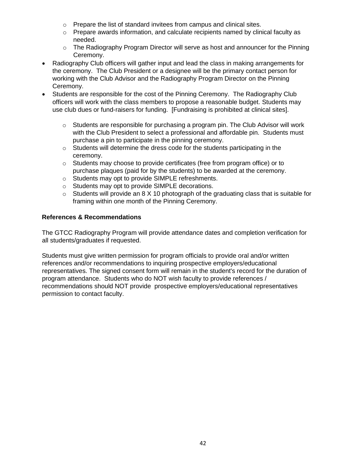- o Prepare the list of standard invitees from campus and clinical sites.
- $\circ$  Prepare awards information, and calculate recipients named by clinical faculty as needed.
- o The Radiography Program Director will serve as host and announcer for the Pinning Ceremony.
- Radiography Club officers will gather input and lead the class in making arrangements for the ceremony. The Club President or a designee will be the primary contact person for working with the Club Advisor and the Radiography Program Director on the Pinning Ceremony.
- Students are responsible for the cost of the Pinning Ceremony. The Radiography Club officers will work with the class members to propose a reasonable budget. Students may use club dues or fund-raisers for funding. [Fundraising is prohibited at clinical sites].
	- $\circ$  Students are responsible for purchasing a program pin. The Club Advisor will work with the Club President to select a professional and affordable pin. Students must purchase a pin to participate in the pinning ceremony.
	- $\circ$  Students will determine the dress code for the students participating in the ceremony.
	- $\circ$  Students may choose to provide certificates (free from program office) or to purchase plaques (paid for by the students) to be awarded at the ceremony.
	- o Students may opt to provide SIMPLE refreshments.
	- o Students may opt to provide SIMPLE decorations.
	- o Students will provide an 8 X 10 photograph of the graduating class that is suitable for framing within one month of the Pinning Ceremony.

### **References & Recommendations**

The GTCC Radiography Program will provide attendance dates and completion verification for all students/graduates if requested.

Students must give written permission for program officials to provide oral and/or written references and/or recommendations to inquiring prospective employers/educational representatives. The signed consent form will remain in the student's record for the duration of program attendance. Students who do NOT wish faculty to provide references / recommendations should NOT provide prospective employers/educational representatives permission to contact faculty.